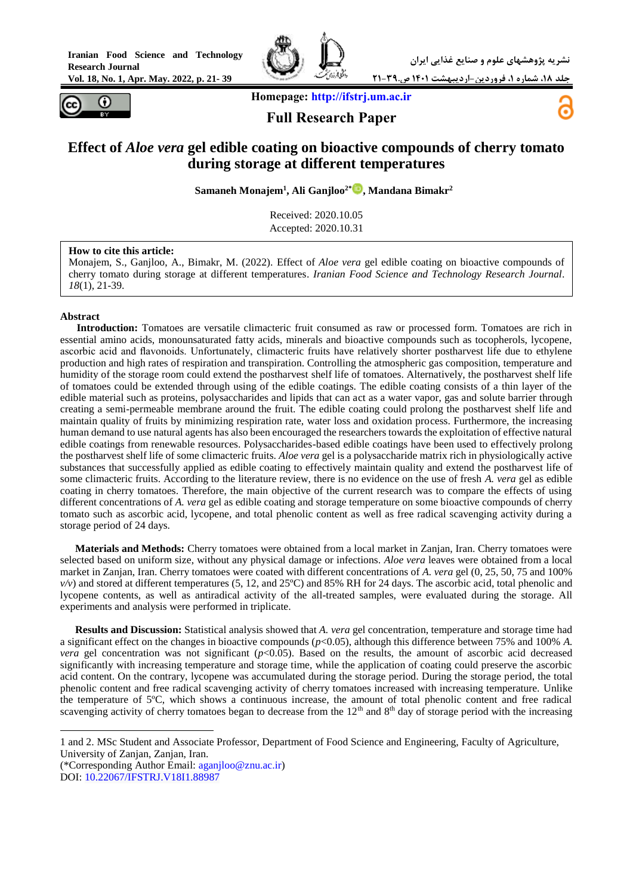**Vol. 18, No. 1, Apr. May. 2022, p. 21- 39**



**جلد ،18 شماره ،1 فروردین-اردیبهشت 1401 ص21-39.**



 **Homepage[: http://ifstrj.um.ac.ir](http://ifstrj.um.ac.ir/) Full Research Paper**



# **Effect of** *Aloe vera* **gel edible coating on bioactive compounds of cherry tomato during storage at different temperatures**

**Samaneh Monajem<sup>1</sup> , Ali Ganjloo2\* [,](https://orcid.org/0000-0002-3298-4492) Mandana Bimakr<sup>2</sup>**

Received: 2020.10.05 Accepted: 2020.10.31

#### **How to cite this article:**

Monajem, S., Ganjloo, A., Bimakr, M. (2022). Effect of *Aloe vera* gel edible coating on bioactive compounds of cherry tomato during storage at different temperatures. *Iranian Food Science and Technology Research Journal*. *18*(1), 21-39.

#### **Abstract**

 $\overline{a}$ 

**<sup>1</sup>Introduction:** Tomatoes are versatile climacteric fruit consumed as raw or processed form. Tomatoes are rich in essential amino acids, monounsaturated fatty acids, minerals and bioactive compounds such as tocopherols, lycopene, ascorbic acid and flavonoids. Unfortunately, climacteric fruits have relatively shorter postharvest life due to ethylene production and high rates of respiration and transpiration. Controlling the atmospheric gas composition, temperature and humidity of the storage room could extend the postharvest shelf life of tomatoes. Alternatively, the postharvest shelf life of tomatoes could be extended through using of the edible coatings. The edible coating consists of a thin layer of the edible material such as proteins, polysaccharides and lipids that can act as a water vapor, gas and solute barrier through creating a semi-permeable membrane around the fruit. The edible coating could prolong the postharvest shelf life and maintain quality of fruits by minimizing respiration rate, water loss and oxidation process. Furthermore, the increasing human demand to use natural agents has also been encouraged the researchers towards the exploitation of effective natural edible coatings from renewable resources. Polysaccharides-based edible coatings have been used to effectively prolong the postharvest shelf life of some climacteric fruits. *Aloe vera* gel is a polysaccharide matrix rich in physiologically active substances that successfully applied as edible coating to effectively maintain quality and extend the postharvest life of some climacteric fruits. According to the literature review, there is no evidence on the use of fresh *A. vera* gel as edible coating in cherry tomatoes. Therefore, the main objective of the current research was to compare the effects of using different concentrations of *A. vera* gel as edible coating and storage temperature on some bioactive compounds of cherry tomato such as ascorbic acid, lycopene, and total phenolic content as well as free radical scavenging activity during a storage period of 24 days.

**Materials and Methods:** Cherry tomatoes were obtained from a local market in Zanjan, Iran. Cherry tomatoes were selected based on uniform size, without any physical damage or infections. *Aloe vera* leaves were obtained from a local market in Zanjan, Iran. Cherry tomatoes were coated with different concentrations of *A. vera* gel (0, 25, 50, 75 and 100%  $v/v$ ) and stored at different temperatures (5, 12, and 25 $^{\circ}$ C) and 85% RH for 24 days. The ascorbic acid, total phenolic and lycopene contents, as well as antiradical activity of the all-treated samples, were evaluated during the storage. All experiments and analysis were performed in triplicate.

**Results and Discussion:** Statistical analysis showed that *A. vera* gel concentration, temperature and storage time had a significant effect on the changes in bioactive compounds (*p*<0.05), although this difference between 75% and 100% *A. vera* gel concentration was not significant  $(p<0.05)$ . Based on the results, the amount of ascorbic acid decreased significantly with increasing temperature and storage time, while the application of coating could preserve the ascorbic acid content. On the contrary, lycopene was accumulated during the storage period. During the storage period, the total phenolic content and free radical scavenging activity of cherry tomatoes increased with increasing temperature. Unlike the temperature of 5ºC, which shows a continuous increase, the amount of total phenolic content and free radical scavenging activity of cherry tomatoes began to decrease from the  $12<sup>th</sup>$  and  $8<sup>th</sup>$  day of storage period with the increasing

(\*Corresponding Author Email: [aganjloo@znu.ac.ir\)](mailto:aganjloo@znu.ac.ir) DOI: [10.22067/IFSTRJ.V18I1.88987](https://dx.doi.org/10.22067/ifstrj.v18i1.88987)

<sup>1</sup> and 2. MSc Student and Associate Professor, Department of Food Science and Engineering, Faculty of Agriculture, University of Zanjan, Zanjan, Iran.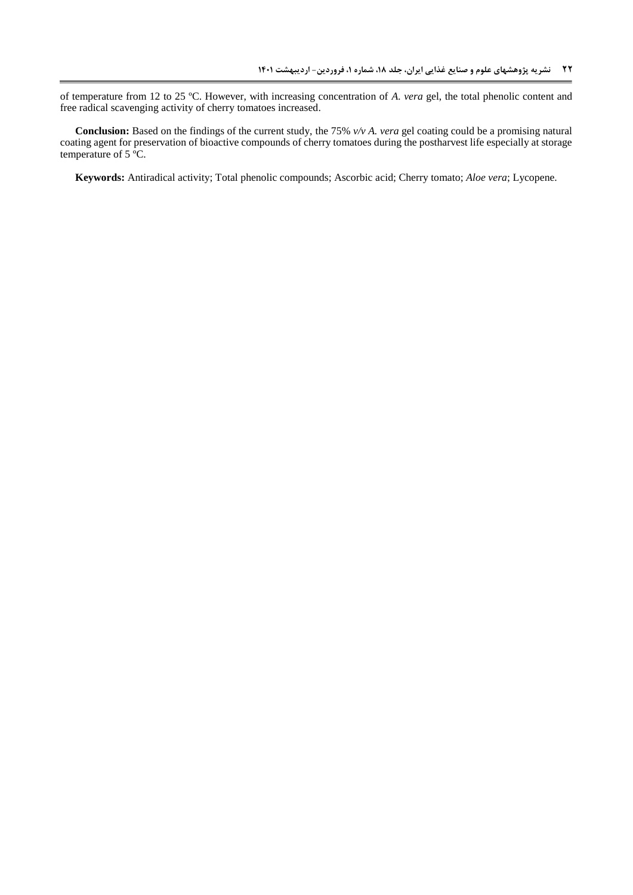of temperature from 12 to 25 ºC. However, with increasing concentration of *A. vera* gel, the total phenolic content and free radical scavenging activity of cherry tomatoes increased.

**Conclusion:** Based on the findings of the current study, the 75% *v/v A. vera* gel coating could be a promising natural coating agent for preservation of bioactive compounds of cherry tomatoes during the postharvest life especially at storage temperature of  $5^{\circ}$ C.

**Keywords:** Antiradical activity; Total phenolic compounds; Ascorbic acid; Cherry tomato; *Aloe vera*; Lycopene.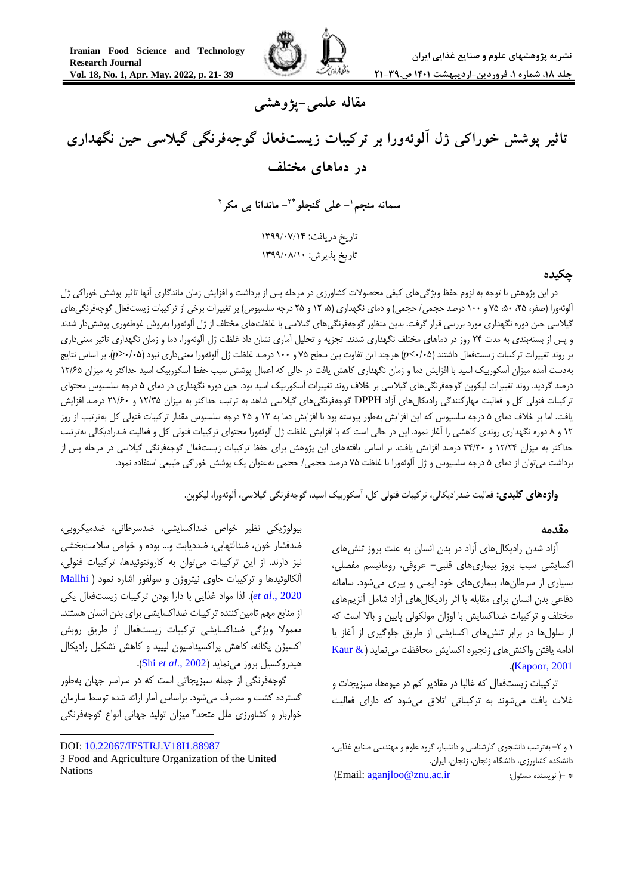

# **مقاله علمی-پژوهشی**

**تاثیر پوشش خوراکی ژل آلوئهورا بر ترکیبات زیستفعال گوجهفرنگی گیالسی حین نگهداری در دماهای مختلف**

> **- علی گنجلو <sup>1</sup> سمانه منجم 2\* - ماندانا بی مکر 2** تاریخ دریافت: 4911/70/41 تاریخ پذیرش: 4911/70/47

### **چکیده**

در این پژوهش با توجه به لزوم حفظ ویژگیهای کیفی محصوالت کشاورزی در مرحله پس از برداشت و افزایش زمان ماندگاری آنها تاثیر پوشش خوراکی ژل آلوئهورا (صفر، ۲۵، ۵۰، ۷۵ و ۱۰۰ درصد حجمی/ حجمی) و دمای نگهداری (۵، ۱۲ و ۲۵ درجه سلسیوس) بر تغییرات برخی از ترکیبات زیستفعال گوجهفرنگیهای گیلاسی حین دوره نگهداری مورد بررسی قرار گرفت. بدین منظور گوجهفرنگیهای گیلاسی با غلظتهای مختلف از ژل آلوئهورا بهروش غوطهوری پوششدار شدند و پس از بستهبندی به مدت 52 روز در دماهای مختلف نگهداری شدند. تجزیه و تحلیل آماری نشان داد غلظت ژل آلوئهورا، دما و زمان نگهداری تاثیر معنیداری بر روند تغییرات ترکیبات زیستفعال داشتند )5/52>*p* )هرچند این تفاوت بین سطح 52 و 055 درصد غلظت ژل آلوئهورا معنیداری نبود )5/52>*p*). بر اساس نتایج بهدست آمده میزان آسکوربیک اسید با افزایش دما و زمان نگهداری کاهش یافت در حالی که اعمال پوشش سبب حفظ آسکوربیک اسید حداکثر به میزان 05/52 درصد گردید. روند تغییرات لیکوپن گوجهفرنگیهای گیالسی بر خالف روند تغییرات آسکوربیک اسید بود. حین دوره نگهداری در دمای 2 درجه سلسیوس محتوای ترکیبات فنولی کل و فعالیت مهارکنندگی رادیکالهای آزاد DPPH گوجهفرنگیهای گیالسی شاهد به ترتیب حداکثر به میزان 05/52 و 50/55 درصد افزایش یافت. اما بر خالف دمای 2 درجه سلسیوس که این افزایش بهطور پیوسته بود با افزایش دما به 05 و 52 درجه سلسیوس مقدار ترکیبات فنولی کل بهترتیب از روز 05 و 8 دوره نگهداری روندی کاهشی را آغاز نمود. این در حالی است که با افزایش غلظت ژل آلوئهورا محتوای ترکیبات فنولی کل و فعالیت ضدرادیکالی بهترتیب حداکثر به میزان ۱۲/۲۴ و ۲۴/۳۰ درصد افزایش یافت. بر اساس یافتههای این پژوهش برای حفظ ترکیبات زیستفعال گوجهفرنگی گیلاسی در مرحله پس از برداشت میتوان از دمای 2 درجه سلسیوس و ژل آلوئهورا با غلظت 52 درصد حجمی/ حجمی بهعنوان یک پوشش خوراکی طبیعی استفاده نمود.

**واژههای کلیدی:** فعالیت ضدرادیکالی، ترکیبات فنولی کل، آسکوربیک اسید، گوجهفرنگی گیالسی، آلوئهورا، لیکوپن.

#### **مقدمه <sup>1</sup>**

آزاد شدن رادیکالهای آزاد در بدن انسان به علت بروز تنشهای اکسایشی سبب بروز بیماریهای قلبی- عروقی، روماتیسم مفصلی، بسیاری از سرطانها، بیماریهای خود ایمنی و پیری میشود. سامانه دفاعی بدن انسان برای مقابله با اثر رادیکالهای آزاد شامل آنزیمهای مختلف و ترکیبات ضداکسایش با اوزان مولکولی پایین و باال است که از سلولها در برابر تنشهای اکسایشی از طریق جلوگیری از آغاز یا ادامه یافتن واکنشهای زنجیره اکسایش محافظت مینماید ) [& Kaur](#page-16-0) .([Kapoor, 2001](#page-16-0)

ترکیبات زیستفعال که غالبا در مقادیر کم در میوهها، سبزیجات و غالت یافت میشوند به ترکیباتی اتالق میشود که دارای فعالیت

بیولوژیکی نظیر خواص ضداکسایشی، ضدسرطانی، ضدمیکروبی، ضدفشار خون، ضدالتهابی، ضددیابت و... بوده و خواص سالمتبخشی نیز دارند. از این ترکیبات میتوان به کاروتنوئیدها، ترکیبات فنولی، آلکالوئیدها و ترکیبات حاوی نیتروژن و سولفور اشاره نمود [\)](#page-17-0) [Mallhi](#page-17-0) [2020 .,](#page-17-0)*al et*). لذا مواد غذایی با دارا بودن ترکیبات زیستفعال یکی از منابع مهم تامین کننده ترکیبات ضداکسایشی برای بدن انسان هستند. معموال ویژگی ضداکسایشی ترکیبات زیستفعال از طریق روبش اکسیژن یگانه، کاهش پراکسیداسیون لیپید و کاهش تشکیل رادیکال هیدروکسیل بروز مینماید )[2002 .,](#page-17-1)*al et* Shi).

گوجهفرنگی از جمله سبزیجاتی است که در سراسر جهان بهطور گسترده کشت و مصرف میشود. براساس آمار ارائه شده توسط سازمان 5 خواربار و کشاورزی ملل متحد میزان تولید جهانی انواع گوجهفرنگی

<sup>1</sup> و ۲- بهترتیب دانشجوی کارشناسی و دانشیار، گروه علوم و مهندسی صنایع غذایی، دانشکده کشاورزی، دانشگاه زنجان، زنجان، ایران. )Email[: aganjloo@znu.ac.ir](mailto:aganjloo@znu.ac.ir) :مسئول نویسنده) -\*

<sup>1</sup> DOI: [10.22067/IFSTRJ.V18I1.88987](https://dx.doi.org/10.22067/ifstrj.v18i1.88987)

<sup>3</sup> Food and Agriculture Organization of the United Nations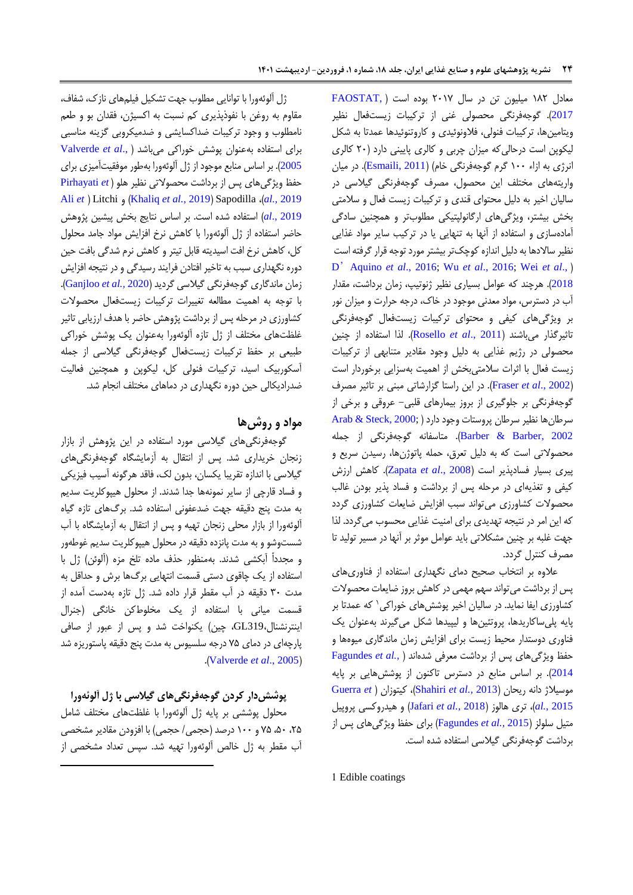معادل 085 میلیون تن در سال 5505 بوده است [\)](#page-16-1) [,FAOSTAT](#page-16-1) [2017](#page-16-1)(. گوجهفرنگی محصولی غنی از ترکیبات زیستفعال نظیر ویتامینها، ترکیبات فنولی، فالونوئیدی و کاروتنوئیدها عمدتا به شکل لیکوپن است درحالیکه میزان چربی و کالری پایینی دارد )55 کالری انرژی به ازاء 055 گرم گوجهفرنگی خام( )[2011 ,Esmaili](#page-15-0)). در میان واریتههای مختلف این محصول، مصرف گوجهفرنگی گیالسی در سالیان اخیر به دلیل محتوای قندی و ترکیبات زیست فعال و سالمتی بخش بیشتر، ویژگیهای ارگانولپتیکی مطلوبتر و همچنین سادگی آمادهسازی و استفاده از آنها به تنهایی یا در ترکیب سایر مواد غذایی نظیر ساالدها به دلیل اندازه کوچکتر بیشتر مورد توجه قرار گرفته است D'[Aquino](#page-15-1) *et al*., 2016; Wu *et al*[., 2016;](#page-18-0) [Wei](#page-18-1) *et al*.,( [2018](#page-18-1)(. هرچند که عوامل بسیاری نظیر ژنوتیپ، زمان برداشت، مقدار آب در دسترس، مواد معدنی موجود در خاک، درجه حرارت و میزان نور بر ویژگیهای کیفی و محتوای ترکیبات زیستفعال گوجهفرنگی تاثیرگذار میباشند )2011 .,*al et* [Rosello](#page-17-2)). لذا استفاده از چنین محصولی در رژیم غذایی به دلیل وجود مقادیر متنابهی از ترکیبات زیست فعال با اثرات سالمتیبخش از اهمیت بهسزایی برخوردار است )[2002 .,](#page-16-2)*al et* Fraser). در این راستا گزارشاتی مبنی بر تاثیر مصرف گوجهفرنگی بر جلوگیری از بروز بیمارهای قلبی- عروقی و برخی از  $A$ rab & Steck,  $2000$ ; ) بسرطان پروستات وجود دارد [2002 ,Barber & Barber](#page-15-3)). متاسفانه گوجهفرنگی از جمله محصوالتی است که به دلیل تعرق، حمله پاتوژنها، رسیدن سریع و پیری بسیار فسادپذیر است )2008 .,*al et* [Zapata](#page-18-2)). کاهش ارزش کیفی و تغذیهای در مرحله پس از برداشت و فساد پذیر بودن غالب محصوالت کشاورزی میتواند سبب افزایش ضایعات کشاورزی گردد که این امر در نتیجه تهدیدی برای امنیت غذایی محسوب میگردد. لذا جهت غلبه بر چنین مشکالتی باید عوامل موثر بر آنها در مسیر تولید تا مصرف کنترل گردد.

عالوه بر انتخاب صحیح دمای نگهداری استفاده از فناوریهای پس از برداشت میتواند سهم مهمی در کاهش بروز ضایعات محصوالت کشاورزی ایفا نماید. در سالیان اخیر پوششهای خوراکی ` که عمدتا بر پایه پلیساکاریدها، پروتئینها و لیپیدها شکل میگیرند بهعنوان یک فناوری دوستدار محیط زیست برای افزایش زمان ماندگاری میوهها و حفظ ویژگیهای پس از برداشت معرفی شدهاند [\)](#page-16-3) *.,al et* [Fagundes](#page-16-3) [2014](#page-16-3)(. بر اساس منابع در دسترس تاکنون از پوششهایی بر پایه [Guerra](#page-16-4) *et*( کیتوزان ،([Shahiri](#page-17-3) *et al.,* 2013( ریحان دانه موسیالژ [2015](#page-16-4) *.,al*)، تری هالوز )2018 *[.,al et](#page-16-5)* Jafari )و هیدروکسی پروپیل متیل سلولز )2015 *.,al et* [Fagundes](#page-16-6) )برای حفظ ویژگیهای پس از برداشت گوجهفرنگی گیالسی استفاده شده است.

ژل آلوئهورا با توانایی مطلوب جهت تشکیل فیلمهای نازک، شفاف، مقاوم به روغن با نفوذپذیری کم نسبت به اکسیژن، فقدان بو و طعم نامطلوب و وجود ترکیبات ضداکسایشی و ضدمیکروبی گزینه مناسبی برای استفاده بهعنوان پوشش خوراکی میباشد ).[,](#page-18-3)*al et* [Valverde](#page-18-3) [2005](#page-18-3)(. بر اساس منابع موجود از ژل آلوئهورا بهطور موفقیتآمیزی برای حفظ ویژگیهای پس از برداشت محصوالتی نظیر هلو )*e[t](#page-17-4)* [Pirhayati](#page-17-4) [Ali](#page-15-4) *e[t](#page-15-4)* ( Litchi و( [Khaliq](#page-16-7) *et al.,* 2019( Sapodilla ،)*al.,* [2019](#page-17-4) [2019 .,](#page-15-4)*al* )استفاده شده است. بر اساس نتایج بخش پیشین پژوهش حاضر استفاده از ژل آلوئهورا با کاهش نرخ افزایش مواد جامد محلول کل، کاهش نرخ افت اسیدیته قابل تیتر و کاهش نرم شدگی بافت حین دوره نگهداری سبب به تاخیر افتادن فرایند رسیدگی و در نتیجه افزایش زمان ماندگاری گوجهفرنگی گیالسی گردید )2020 *.,al et* [Ganjloo](#page-16-8)). با توجه به اهمیت مطالعه تغییرات ترکیبات زیستفعال محصوالت کشاورزی در مرحله پس از برداشت پژوهش حاضر با هدف ارزیابی تاثیر غلظتهای مختلف از ژل تازه آلوئهورا بهعنوان یک پوشش خوراکی طبیعی بر حفظ ترکیبات زیستفعال گوجهفرنگی گیالسی از جمله آسکوربیک اسید، ترکیبات فنولی کل، لیکوپن و همچنین فعالیت ضدرادیکالی حین دوره نگهداری در دماهای مختلف انجام شد.

### **مواد و روشها**

گوجهفرنگیهای گیالسی مورد استفاده در این پژوهش از بازار زنجان خریداری شد. پس از انتقال به آزمایشگاه گوجهفرنگیهای گیالسی با اندازه تقریبا یکسان، بدون لک، فاقد هرگونه آسیب فیزیکی و فساد قارچی از سایر نمونهها جدا شدند. از محلول هیپوکلریت سدیم به مدت پنج دقیقه جهت ضدعفونی استفاده شد. برگهای تازه گیاه آلوئهورا از بازار محلی زنجان تهیه و پس از انتقال به آزمایشگاه با آب شستوشو و به مدت پانزده دقیقه در محلول هیپوکلریت سدیم غوطهور و مجدداّ آبکشی شدند. بهمنظور حذف ماده تلخ مزه )آلوئن( ژل با استفاده از یک چاقوی دستی قسمت انتهایی برگها برش و حداقل به مدت 55 دقیقه در آب مقطر قرار داده شد. ژل تازه بهدست آمده از قسمت میانی با استفاده از یک مخلوطکن خانگی )جنرال اینترنشنال319،GL، چین( یکنواخت شد و پس از عبور از صافی پارچهای در دمای 52 درجه سلسیوس به مدت پنج دقیقه پاستوریزه شد .)[Valverde](#page-18-3) *et al*., 2005(

## **پوششدار کردن گوجهفرنگیهای گیالسی با ژل آلوئهورا**

محلول پوششی بر پایه ژل آلوئهورا با غلظتهای مختلف شامل ۲۵، ۵۰، ۷۵ و ۱۰۰ درصد (حجمی/ حجمی) با افزودن مقادیر مشخصی آب مقطر به ژل خالص آلوئهورا تهیه شد. سپس تعداد مشخصی از

**.** 

1 Edible coatings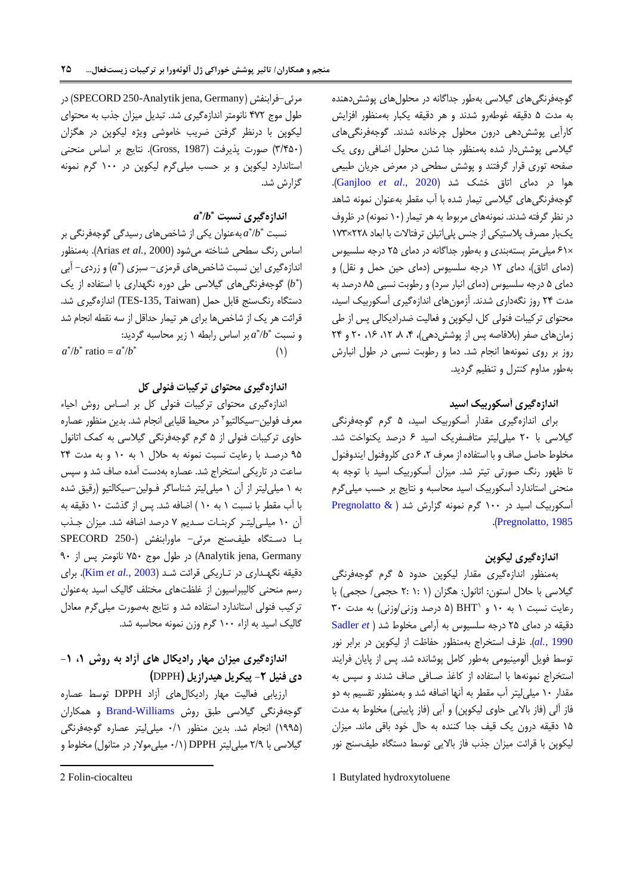گوجهفرنگیهای گیالسی بهطور جداگانه در محلولهای پوششدهنده به مدت 2 دقیقه غوطهرو شدند و هر دقیقه یکبار بهمنظور افزایش کارآیی پوششدهی درون محلول چرخانده شدند. گوجهفرنگیهای گیالسی پوششدار شده بهمنظور جدا شدن محلول اضافی روی یک صفحه توری قرار گرفتند و پوشش سطحی در معرض جریان طبیعی هوا در دمای اتاق خشک شد )2020 .,*al et* [Ganjloo](#page-16-8)). گوجهفرنگیهای گیالسی تیمار شده با آب مقطر بهعنوان نمونه شاهد در نظر گرفته شدند. نمونههای مربوط به هر تیمار (۱۰ نمونه) در ظروف یکبار مصرف پالستیکی از جنس پلیاتیلن ترفتاالت با ابعاد 558×055 ×50 میلیمتر بستهبندی و بهطور جداگانه در دمای 52 درجه سلسیوس (دمای اتاق)، دمای ١٢ درجه سلسیوس (دمای حین حمل و نقل) و دمای 2 درجه سلسیوس )دمای انبار سرد( و رطوبت نسبی 82 درصد به مدت 52 روز نگهداری شدند. آزمونهای اندازهگیری آسکوربیک اسید، محتوای ترکیبات فنولی کل، لیکوپن و فعالیت ضدرادیکالی پس از طی زمانهای صفر (بلافاصه پس از پوشش دهی)، ۴، ۸، ۱۲، ۲۶، ۲۰ و ۲۴ روز بر روی نمونهها انجام شد. دما و رطوبت نسبی در طول انبارش بهطور مداوم کنترل و تنظیم گردید.

### **اندازهگیری آسکوربیک اسید**

برای اندازهگیری مقدار آسکوربیک اسید، 2 گرم گوجهفرنگی گیالسی با 55 میلیلیتر متافسفریک اسید 5 درصد یکنواخت شد. مخلوط حاصل صاف و با استفاده از معرف ،5 5 دی کلروفنول ایندوفنول تا ظهور رنگ صورتی تیتر شد. میزان آسکوربیک اسید با توجه به منحنی استاندارد آسکوربیک اسید محاسبه و نتایج بر حسب میلیگرم آسکوربیک اسید در 055 گرم نمونه گزارش شد ) [& Pregnolatto](#page-17-5) .)[Pregnolatto, 1985](#page-17-5)

## **اندازهگیری لیکوپن**

بهمنظور اندازهگیری مقدار لیکوپن حدود 2 گرم گوجهفرنگی گیلاسی با حلال استون: اتانول: هگزان (۱: ۲: ۲ حجمی/ حجمی) با رعایت نسبت ۱ به ۱۰ و BHT( (۵ درصد وزنی/وزنی) به مدت ۳۰ دقیقه در دمای 52 درجه سلسیوس به آرامی مخلوط شد [\)](#page-17-6) *et* [Sadler](#page-17-6) [1990](#page-17-6) *.,al*). ظرف استخراج بهمنظور حفاظت از لیکوپن در برابر نور توسط فویل آلومینیومی بهطور کامل پوشانده شد. پس از پایان فرایند استخراج نمونهها با استفاده از کاغذ صـافی صاف شدند و سپس به مقدار 05 میلیلیتر آب مقطر به آنها اضافه شد و بهمنظور تقسیم به دو فاز آلی (فاز بالایی حاوی لیکوپن) و آبی (فاز پایینی) مخلوط به مدت 02 دقیقه درون یک قیف جدا کننده به حال خود باقی ماند. میزان لیکوپن با قرائت میزان جذب فاز باالیی توسط دستگاه طیفسنج نور

1 Butylated hydroxytoluene

 در( SPECORD 250-Analytik jena, Germany( فرابنفش-مرئی طول موج 255 نانومتر اندازهگیری شد. تبدیل میزان جذب به محتوای لیکوپن با درنظر گرفتن ضریب خاموشی ویژه لیکوپن در هگزان )5/225( صورت پذیرفت )1987 ,Gross). نتایج بر اساس منحنی استاندارد لیکوپن و بر حسب میلیگرم لیکوپن در 055 گرم نمونه گزارش شد.

## **\* اندازهگیری نسبت /***b* **\*** *a*

\* نسبت /*b* \* *a* بهعنوان یکی از شاخصهای رسیدگی گوجهفرنگی بر اساس رنگ سطحی شناخته میشود )2000 *.,al et* Arias). بهمنظور *\** اندازهگیری این نسبت شاخصهای قرمزی- سبزی ) *a* )و زردی- آبی ( *b* )گوجهفرنگیهای گیالسی طی دوره نگهداری با استفاده از یک *\** دستگاه رنگسنج قابل حمل (TES-135, Taiwan) اندازهگیری شد. قرائت هر یک از شاخصها برای هر تیمار حداقل از سه نقطه انجام شد \* و نسبت /*b* \* *a* بر اساس رابطه 0 زیر محاسبه گردید:  $\mathcal{O}(\mathcal{O})$  $a^*/b^*$  ratio =  $a^*/b^*$ 

## **اندازهگیری محتوای ترکیبات فنولی کل**

اندازهگیری محتوای ترکیبات فنولی کل بر اسـاس روش احیاء 5 معرف فولین-سیکالتیو در محیط قلیایی انجام شد. بدین منظور عصاره حاوی ترکیبات فنولی از 2 گرم گوجهفرنگی گیالسی به کمک اتانول ۹۵ درصـد با رعایت نسبت نمونه به حلال ۱ به ۱۰ و به مدت ۲۴ ساعت در تاریکی استخراج شد. عصاره بهدست آمده صاف شد و سپس به 0 میلیلیتر از آن 0 میلیلیتر شناساگر فـولین-سیکالتیو )رقیق شده با آب مقطر با نسبت 0 به 05 ( اضافه شد. پس از گذشت 05 دقیقه به آن 05 میلـیلیتـر کربنـات سـدیم 5 درصد اضافه شد. میزان جـذب بـا دسـتگاه طیفسنج مرئی- ماورابنفش )250- SPECORD Germany ,jena Analytik )در طول موج 525 نانومتر پس از 55 دقیقه نگهـداری در تـاریکی قرائت شـد )2003 *[.,al et](#page-16-9)* Kim). برای رسم منحنی کالیبراسیون از غلظتهای مختلف گالیک اسید بهعنوان ترکیب فنولی استاندارد استفاده شد و نتایج بهصورت میلیگرم معادل گالیک اسید به ازاء 055 گرم وزن نمونه محاسبه شد.

# **اندازهگیری میزان مهار رادیکال های آزاد به روش ،1 -1 دی فنیل -2 پیکریل هیدرازیل )**DPPH**)**

ارزیابی فعالیت مهار رادیکالهای آزاد DPPH توسط عصاره گوجهفرنگی گیلاسی طبق روش Brand-Williams و همکاران )0552( انجام شد. بدین منظور 5/0 میلیلیتر عصاره گوجهفرنگی گیلاسی با ۲/۹ میلی لیتر DPPH( (۰/۱ میلی مولار در متانول) مخلوط و

**.** 

<sup>2</sup> Folin-ciocalteu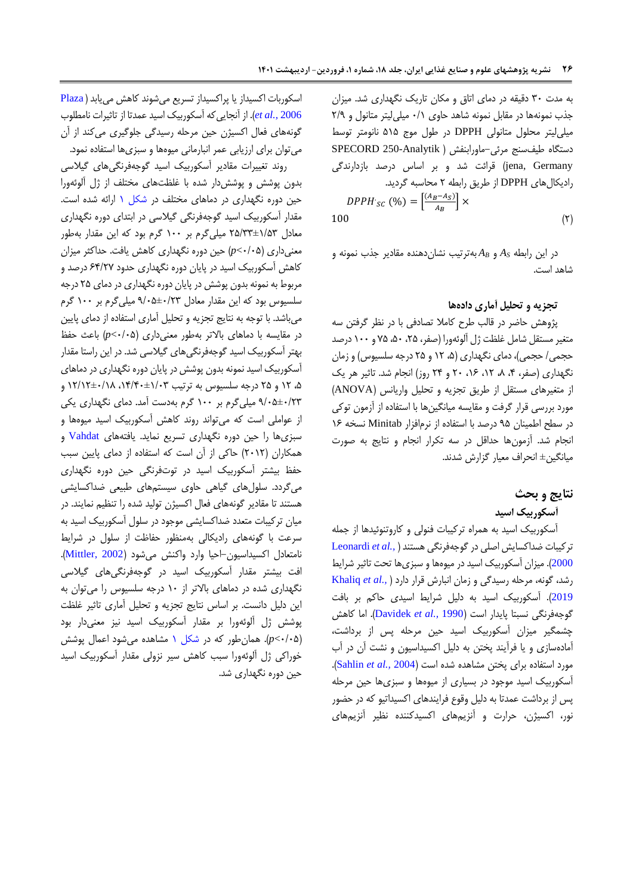به مدت 55 دقیقه در دمای اتاق و مکان تاریک نگهداری شد. میزان جذب نمونهها در مقابل نمونه شاهد حاوی 5/0 میلیلیتر متانول و 5/5 میلیلیتر محلول متانولی DPPH در طول موج 202 نانومتر توسط دستگاه طیفسنج مرئی-ماورابنفش ) Analytik250- SPECORD jena, Germany) قرائت شد و بر اساس درصد بازدارندگی رادیکالهای DPPH از طریق رابطه 5 محاسبه گردید.

$$
DPPH_{SC} (96) = \left[\frac{(A_B - A_S)}{A_B}\right] \times
$$
\n
$$
(5)
$$

در این رابطه *A<sup>S</sup>* و *A<sup>B</sup>* بهترتیب نشاندهنده مقادیر جذب نمونه و شاهد است.

#### **تجزیه و تحلیل آماری دادهها**

پژوهش حاضر در قالب طرح کامال تصادفی با در نظر گرفتن سه متغیر مستقل شامل غلظت ژل آلوئهورا (صفر، ۲۵، ۵۰، ۷۵ و ۱۰۰ درصد حجمی/ حجمی)، دمای نگهداری (۵، ۱۲ و ۲۵ درجه سلسیوس) و زمان نگهداری (صفر، ۴، ۸، ۱۲، ۱۶، ۲۰ و ۲۴ روز) انجام شد. تاثیر هر یک از متغیرهای مستقل از طریق تجزیه و تحلیل واریانس )ANOVA ) مورد بررسی قرار گرفت و مقایسه میانگینها با استفاده از آزمون توکی در سطح اطمینان 52 درصد با استفاده از نرمافزار Minitab نسخه 05 انجام شد. آزمونها حداقل در سه تکرار انجام و نتایج به صورت میانگین± انحراف معیار گزارش شدند.

### **نتایج و بحث**

**آسکوربیک اسید** 

آسکوربیک اسید به همراه ترکیبات فنولی و کاروتنوئیدها از جمله ترکیبات ضداکسایش اصلی در گوجهفرنگی هستند[\)](#page-16-10) *.,al et* [Leonardi](#page-16-10) [2000](#page-16-10)(. میزان آسکوربیک اسید در میوهها و سبزیها تحت تاثیر شرایط رشد، گونه، مرحله رسیدگی و زمان انبارش قرار دارد [\)](#page-16-7) *.,al et* [Khaliq](#page-16-7) [2019](#page-16-7)(. آسکوربیک اسید به دلیل شرایط اسیدی حاکم بر بافت گوجهفرنگی نسبتا پایدار است )1990 *.,al et* [Davidek](#page-15-6)). اما کاهش چشمگیر میزان آسکوربیک اسید حین مرحله پس از برداشت، آمادهسازی و یا فرآیند پختن به دلیل اکسیداسیون و نشت آن در آب مورد استفاده برای پختن مشاهده شده است )2004 *.,al et* [Sahlin](#page-17-7)). آسکوربیک اسید موجود در بسیاری از میوهها و سبزیها حین مرحله پس از برداشت عمدتا به دلیل وقوع فرایندهای اکسیداتیو که در حضور نور، اکسیژن، حرارت و آنزیمهای اکسیدکننده نظیر آنزیمهای

اسکوربات اکسیداز یا پراکسیداز تسریع میشوند کاهش مییابد ) [Plaza](#page-17-8) 2006 *[.,al et](#page-17-8)*). از آنجاییکه آسکوربیک اسید عمدتا از تاثیرات نامطلوب گونههای فعال اکسیژن حین مرحله رسیدگی جلوگیری میکند از آن میتوان برای ارزیابی عمر انبارمانی میوهها و سبزیها استفاده نمود.

روند تغییرات مقادیر آسکوربیک اسید گوجهفرنگیهای گیالسی بدون پوشش و پوششدار شده با غلظتهای مختلف از ژل آلوئهورا حین دوره نگهداری در دماهای مختلف در [شکل 0](#page-6-0) ارائه شده است. مقدار آسکوربیک اسید گوجهفرنگی گیالسی در ابتدای دوره نگهداری معادل 52/55±0/25 میلیگرم بر 055 گرم بود که این مقدار بهطور معنیداری )5/52>*p* )حین دوره نگهداری کاهش یافت. حداکثر میزان کاهش آسکوربیک اسید در پایان دوره نگهداری حدود 52/55 درصد و مربوط به نمونه بدون پوشش در پایان دوره نگهداری در دمای 52 درجه سلسیوس بود که این مقدار معادل 5/52±5/55 میلیگرم بر 055 گرم میباشد. با توجه به نتایج تجزیه و تحلیل آماری استفاده از دمای پایین در مقایسه با دماهای باالتر بهطور معنیداری )5/52>*p* )باعث حفظ بهتر آسکوربیک اسید گوجهفرنگیهای گیالسی شد. در این راستا مقدار آسکوربیک اسید نمونه بدون پوشش در پایان دوره نگهداری در دماهای ۵، ۱۲ و ۲۵ درجه سلسیوس به ترتیب ۱۳/۱۴۰±۱۲/۱۲ و 5/52±5/55 میلیگرم بر 055 گرم بهدست آمد. دمای نگهداری یکی از عواملی است که میتواند روند کاهش آسکوربیک اسید میوهها و سبزیها را حین دوره نگهداری تسریع نماید. یافتههای [Vahdat](#page-18-4) و همکاران )5505( حاکی از آن است که استفاده از دمای پایین سبب حفظ بیشتر آسکوربیک اسید در توتفرنگی حین دوره نگهداری میگردد. سلولهای گیاهی حاوی سیستمهای طبیعی ضداکسایشی هستند تا مقادیر گونههای فعال اکسیژن تولید شده را تنظیم نمایند. در میان ترکیبات متعدد ضداکسایشی موجود در سلول آسکوربیک اسید به سرعت با گونههای رادیکالی بهمنظور حفاظت از سلول در شرایط نامتعادل اکسیداسیون-احیا وارد واکنش میشود )[2002 ,Mittler](#page-17-9)). افت بیشتر مقدار آسکوربیک اسید در گوجهفرنگیهای گیالسی نگهداری شده در دماهای باالتر از 05 درجه سلسیوس را میتوان به این دلیل دانست. بر اساس نتایج تجزیه و تحلیل آماری تاثیر غلظت پوشش ژل آلوئهورا بر مقدار آسکوربیک اسید نیز معنیدار بود )5/52>*p*). همانطور که در [شکل 0](#page-6-0) مشاهده میشود اعمال پوشش خوراکی ژل آلوئهورا سبب کاهش سیر نزولی مقدار آسکوربیک اسید حین دوره نگهداری شد.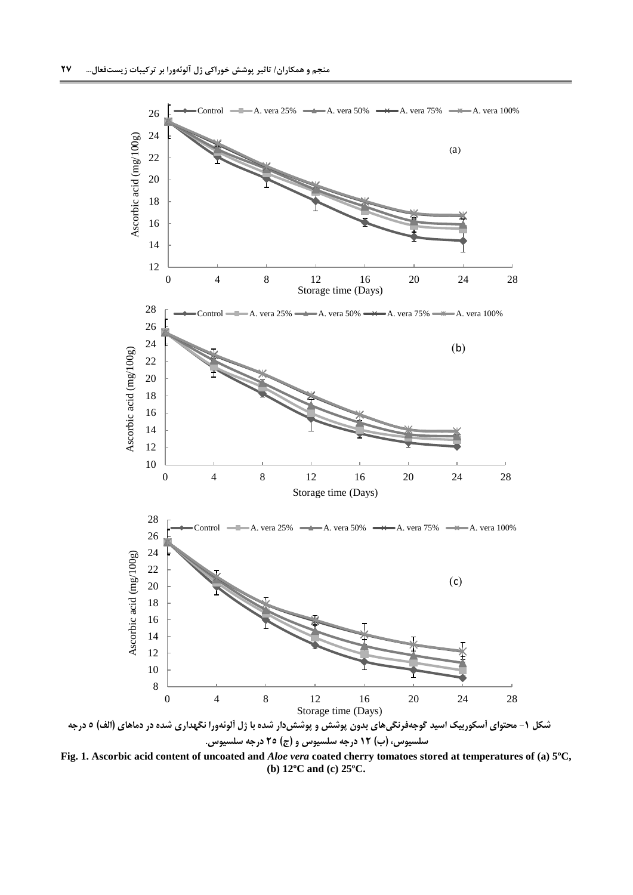

<span id="page-6-0"></span>**Fig. 1. Ascorbic acid content of uncoated and** *Aloe vera* **coated cherry tomatoes stored at temperatures of (a) 5ºC, (b) 12ºC and (c) 25ºC.**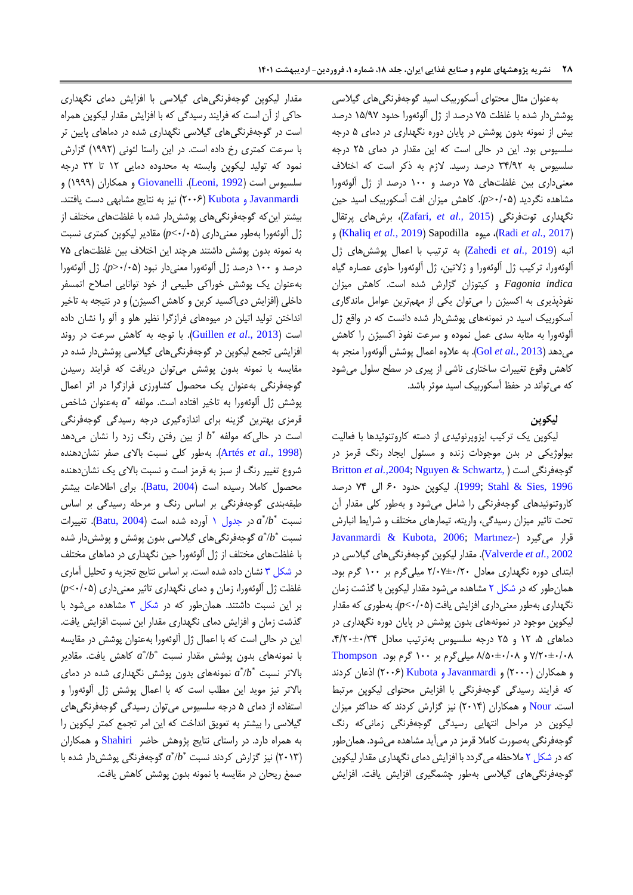بهعنوان مثال محتوای آسکوربیک اسید گوجهفرنگیهای گیالسی پوششدار شده با غلظت 52 درصد از ژل آلوئهورا حدود 02/55 درصد بیش از نمونه بدون پوشش در پایان دوره نگهداری در دمای 2 درجه سلسیوس بود. این در حالی است که این مقدار در دمای 52 درجه سلسیوس به 52/55 درصد رسید. الزم به ذکر است که اختالف معنیداری بین غلظتهای 52 درصد و 055 درصد از ژل آلوئهورا مشاهده نگردید )5/52<*p*). کاهش میزان افت آسکوربیک اسید حین نگهداری توتفرنگی )2015 *.,al et* [,Zafari](#page-18-5))، برشهای پرتقال و( [Khaliq](#page-16-7) *et al.,* 2019( Sapodilla میوه ،(Radi *[et al.,](#page-17-10)* 2017( انبه )2019 *.,al et* [Zahedi](#page-18-6) )به ترتیب با اعمال پوششهای ژل آلوئهورا، ترکیب ژل آلوئهورا و ژالتین، ژل آلوئهورا حاوی عصاره گیاه *indica Fagonia* و کیتوزان گزارش شده است. کاهش میزان نفوذپذیری به اکسیژن را میتوان یکی از مهمترین عوامل ماندگاری آسکوربیک اسید در نمونههای پوششدار شده دانست که در واقع ژل آلوئهورا به مثابه سدی عمل نموده و سرعت نفوذ اکسیژن را کاهش میدهد )2013 *[.,al et](#page-16-11)* Gol). به عالوه اعمال پوشش آلوئهورا منجر به کاهش وقوع تغییرات ساختاری ناشی از پیری در سطح سلول میشود که میتواند در حفظ آسکوربیک اسید موثر باشد.

#### **لیکوپن**

لیکوپن یک ترکیب ایزوپرنوئیدی از دسته کاروتنوئیدها با فعالیت بیولوژیکی در بدن موجودات زنده و مسئول ایجاد رنگ قرمز در [Britton](#page-15-7) *et al.,*2004[; Nguyen & Schwartz,](#page-17-11)( است گوجهفرنگی [1996 ,Sies & Stahl](#page-18-7)[;](#page-17-11)[1999](#page-17-11)). لیکوپن حدود 55 الی 52 درصد کاروتنوئیدهای گوجهفرنگی را شامل میشود و بهطور کلی مقدار آن تحت تاثیر میزان رسیدگی، واریته، تیمارهای مختلف و شرایط انبارش [Javanmardi & Kubota, 2006;](#page-16-12) [Martınez-](#page-17-12)[\(](#page-16-12) میگیرد قرار 2002 *.,al et* [Valverde](#page-17-12)). مقدار لیکوپن گوجهفرنگیهای گیالسی در ابتدای دوره نگهداری معادل 5/55±5/55 میلیگرم بر 055 گرم بود. همانطور که در [شکل 5](#page-8-0) مشاهده میشود مقدار لیکوپن با گذشت زمان نگهداری بهطور معنیداری افزایش یافت )5/52>*p*). بهطوری که مقدار لیکوپن موجود در نمونههای بدون پوشش در پایان دوره نگهداری در دماهای ،2 05 و 52 درجه سلسیوس بهترتیب معادل ،2/55±5/52 5/55±5/58 و 8/25±5/58 میلیگرم بر 055 گرم بود. [Thompson](#page-18-8) و همکاران )5555( و [Javanmardi](#page-16-12) و Kubota( 5555 )اذعان کردند که فرایند رسیدگی گوجهفرنگی با افزایش محتوای لیکوپن مرتبط است. [Nour](#page-17-13) و همکاران (۲۰۱۴) نیز گزارش کردند که حداکثر میزان لیکوپن در مراحل انتهایی رسیدگی گوجهفرنگی زمانیکه رنگ گوجهفرنگی بهصورت کامال قرمز در میآید مشاهده میشود. همانطور که د[ر شکل 5](#page-8-0) مالحظه میگردد با افزایش دمای نگهداری مقدار لیکوپن گوجهفرنگیهای گیالسی بهطور چشمگیری افزایش یافت. افزایش

مقدار لیکوپن گوجهفرنگیهای گیالسی با افزایش دمای نگهداری حاکی از آن است که فرایند رسیدگی که با افزایش مقدار لیکوپن همراه است در گوجهفرنگیهای گیالسی نگهداری شده در دماهای پایین تر با سرعت کمتری رخ داده است. در این راستا لئونی )0555( گزارش نمود که تولید لیکوپن وابسته به محدوده دمایی 05 تا 55 درجه سلسیوس است )[1992 ,Leoni](#page-16-13)). [Giovanelli](#page-16-14) و همکاران )0555( و  [Javanmardi](#page-16-12) و Kubota( 5555 )نیز به نتایج مشابهی دست یافتند. بیشتر این که گوجهفرنگی های پوشش دار شده با غلظتهای مختلف از ژل آلوئهورا بهطور معنیداری )5/52>*p* )مقادیر لیکوپن کمتری نسبت به نمونه بدون پوشش داشتند هرچند این اختالف بین غلظتهای 52 درصد و 055 درصد ژل آلوئهورا معنیدار نبود )5/52<*p*). ژل آلوئهورا بهعنوان یک پوشش خوراکی طبیعی از خود توانایی اصالح اتمسفر داخلی (افزایش دی|کسید کربن و کاهش اکسیژن) و در نتیجه به تاخیر انداختن تولید اتیلن در میوههای فرازگرا نظیر هلو و آلو را نشان داده است )2013 .,*al et* [Guillen](#page-16-15)). با توجه به کاهش سرعت در روند افزایشی تجمع لیکوپن در گوجهفرنگیهای گیالسی پوششدار شده در مقایسه با نمونه بدون پوشش میتوان دریافت که فرایند رسیدن گوجهفرنگی بهعنوان یک محصول کشاورزی فرازگرا در اثر اعمال \* پوشش ژل آلوئهورا به تاخیر افتاده است. مولفه *a* بهعنوان شاخص قرمزی بهترین گزینه برای اندازهگیری درجه رسیدگی گوجهفرنگی است در حالی که مولفه *\*b* از بین رفتن رنگ زرد را نشان میدهد )1998 .,*al et* [Artés](#page-15-8)). بهطور کلی نسبت باالی صفر نشاندهنده شروع تغییر رنگ از سبز به قرمز است و نسبت باالی یک نشاندهنده محصول کاملا رسیده است (Batu, 2004). برای اطلاعات بیشتر طبقهبندی گوجهفرنگی بر اساس رنگ و مرحله رسیدگی بر اساس نسبت  $a^*\!/b^*$  در جدول ۱ آورده شده است (Batu, 2004). تغییرات نسبت  $a^*/b^*$  گوجهفرنگیهای گیلاسی بدون پوشش و پوششدار شده با غلظتهای مختلف از ژل آلوئهورا حین نگهداری در دماهای مختلف در [شکل 5](#page-9-0) نشان داده شده است. بر اساس نتایج تجزیه و تحلیل آماری غلظت ژل آلوئهورا، زمان و دمای نگهداری تاثیر معنیداری )5/52>*p* ) بر این نسبت داشتند. همانطور که در [شکل 5](#page-9-0) مشاهده میشود با گذشت زمان و افزایش دمای نگهداری مقدار این نسبت افزایش یافت. این در حالی است که با اعمال ژل آلوئهورا بهعنوان پوشش در مقایسه با نمونهها*ی* بدون پوشش مقدار نسبت  $a^{\ast}/b^{\ast}$  کاهش یافت. مقادیر بالاتر نسبت  $a^*/b^*$  نمونههای بدون پوشش نگهداری شده در دمای باالتر نیز موید این مطلب است که با اعمال پوشش ژل آلوئهورا و استفاده از دمای 2 درجه سلسیوس میتوان رسیدگی گوجهفرنگیهای گیالسی را بیشتر به تعویق انداخت که این امر تجمع کمتر لیکوپن را به همراه دارد. در راستای نتایج پژوهش حاضر [Shahiri](#page-17-3) و همکاران )5505( نیز گزارش کردند نسبت \* /*b* \* *a* گوجهفرنگی پوششدار شده با صمغ ریحان در مقایسه با نمونه بدون پوشش کاهش یافت.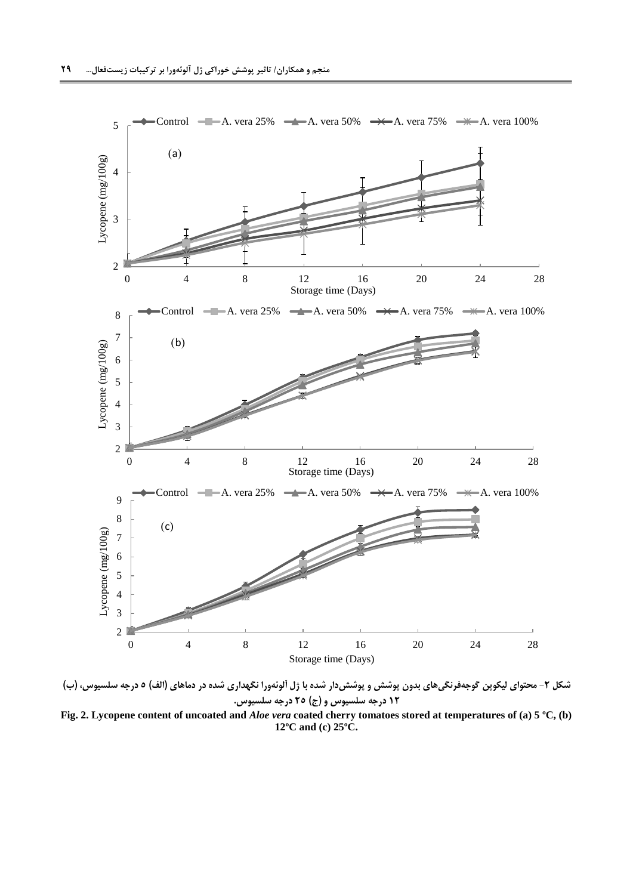

<span id="page-8-0"></span>**شکل -2 محتوای لیکوپن گوجهفرنگیهای بدون پوشش و پوششدار شده با ژل آلوئهورا نگهداری شده در دماهای )الف( 5 درجه سلسیوس، )ب( 12 درجه سلسیوس و )ج( 25 درجه سلسیوس.**

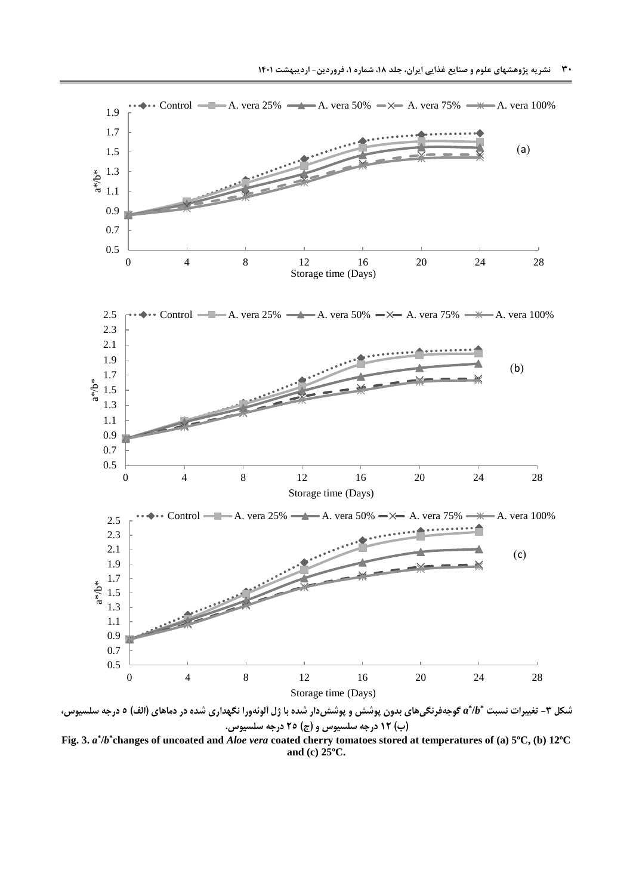

Control  $\longrightarrow A$ . vera 25%  $\longrightarrow A$ . vera 50%  $\longrightarrow A$ . vera 75%  $\longrightarrow A$ . vera 100%

<span id="page-9-0"></span>**\* شکل -3 تغییرات نسبت /***b* **\*** *a* **گوجهفرنگیهای بدون پوشش و پوششدار شده با ژل آلوئهورا نگهداری شده در دماهای )الف( 5 درجه سلسیوس، )ب( 12 درجه سلسیوس و )ج( 25 درجه سلسیوس. Fig. 3.** *a* **\* /***b* **\* changes of uncoated and** *Aloe vera* **coated cherry tomatoes stored at temperatures of (a) 5ºC, (b) 12ºC and (c) 25ºC.**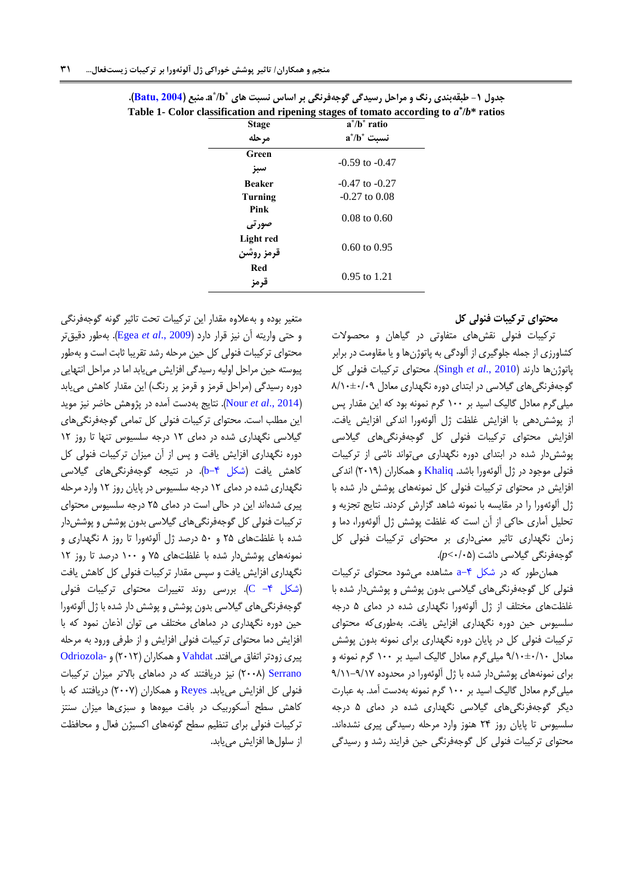| <b>Stage</b>           | $a^*/b^*$ ratio         |
|------------------------|-------------------------|
| مرحله                  | $a^*/b^*$ نسبت          |
| Green                  |                         |
| سبز                    | $-0.59$ to $-0.47$      |
| <b>Beaker</b>          | $-0.47$ to $-0.27$      |
| Turning                | $-0.27$ to $0.08$       |
| Pink<br>صورتى          | $0.08 \text{ to } 0.60$ |
| Light red<br>قرمز روشن | $0.60 \text{ to } 0.95$ |
| Red<br>قرمز            | $0.95$ to 1.21          |

| جدول ۱- طبقهبندی رنگ و مراحل رسیدگی گوجهفرنگی بر اساس نسبت های *a*/b* منبع (Batu, 2004).    |  |
|---------------------------------------------------------------------------------------------|--|
| Table 1- Color classification and ripening stages of tomato according to $a^* / b^*$ ratios |  |

<span id="page-10-0"></span>**محتوای ترکیبات فنولی کل**

ترکیبات فنولی نقشهای متفاوتی در گیاهان و محصوالت کشاورزی از جمله جلوگیری از آلودگی به پاتوژنها و یا مقاومت در برابر پاتوژنها دارند )2010 .,*al et* [Singh](#page-17-14)). محتوای ترکیبات فنولی کل گوجهفرنگیهای گیلاسی در ابتدای دوره نگهداری معادل ۸/۱۰±۰/۱۸ میلی گرم معادل گالیک اسید بر ۱۰۰ گرم نمونه بود که این مقدار پس از پوششدهی با افزایش غلظت ژل آلوئهورا اندکی افزایش یافت. افزایش محتوای ترکیبات فنولی کل گوجهفرنگیهای گیالسی پوششدار شده در ابتدای دوره نگهداری میتواند ناشی از ترکیبات فنولی موجود در ژل آلوئهورا باشد. <u>Khaliq</u> و همکاران (۲۰۱۹) اندکی افزایش در محتوای ترکیبات فنولی کل نمونههای پوشش دار شده با ژل آلوئهورا را در مقایسه با نمونه شاهد گزارش کردند. نتایج تجزیه و تحلیل آماری حاکی از آن است که غلظت پوشش ژل آلوئهورا، دما و زمان نگهداری تاثیر معنیداری بر محتوای ترکیبات فنولی کل گوجهفرنگی گیالسی داشت )5/52>*p*).

همانطور که در [شکل -2](#page-11-0)a مشاهده میشود محتوای ترکیبات فنولی کل گوجهفرنگیهای گیالسی بدون پوشش و پوششدار شده با غلظتهای مختلف از ژل آلوئهورا نگهداری شده در دمای 2 درجه سلسیوس حین دوره نگهداری افزایش یافت. بهطوریکه محتوای ترکیبات فنولی کل در پایان دوره نگهداری برای نمونه بدون پوشش معادل 5/05±5/05 میلیگرم معادل گالیک اسید بر 055 گرم نمونه و برای نمونههای پوششدار شده با ژل آلوئهورا در محدوده 5/00-5/05 میلیگرم معادل گالیک اسید بر 055 گرم نمونه بهدست آمد. به عبارت دیگر گوجهفرنگیهای گیالسی نگهداری شده در دمای 2 درجه سلسیوس تا پایان روز 52 هنوز وارد مرحله رسیدگی پیری نشدهاند. محتوای ترکیبات فنولی کل گوجهفرنگی حین فرایند رشد و رسیدگی

متغیر بوده و بهعالوه مقدار این ترکیبات تحت تاثیر گونه گوجهفرنگی و حتی واریته آن نیز قرار دارد )[2009 .,](#page-15-10)*al et* Egea). بهطور دقیقتر محتوای ترکیبات فنولی کل حین مرحله رشد تقریبا ثابت است و بهطور پیوسته حین مراحل اولیه رسیدگی افزایش مییابد اما در مراحل انتهایی دوره رسیدگی (مراحل قرمز و قرمز پر رنگ) این مقدار کاهش می یابد )[2014 .,](#page-17-13)*al et* Nour). نتایج بهدست آمده در پژوهش حاضر نیز موید این مطلب است. محتوای ترکیبات فنولی کل تمامی گوجهفرنگیهای گیالسی نگهداری شده در دمای 05 درجه سلسیوس تنها تا روز 05 دوره نگهداری افزایش یافت و پس از آن میزان ترکیبات فنولی کل کاهش یافت (شکل ۴−b). در نتیجه گوجهفرنگیهای گیلاسی نگهداری شده در دمای 05 درجه سلسیوس در پایان روز 05 وارد مرحله پیری شدهاند این در حالی است در دمای 52 درجه سلسیوس محتوای ترکیبات فنولی کل گوجهفرنگیهای گیالسی بدون پوشش و پوششدار شده با غلظتهای 52 و 25 درصد ژل آلوئهورا تا روز 8 نگهداری و نمونههای پوشش دار شده با غلظتهای ۷۵ و ۱۰۰ درصد تا روز ۱۲ نگهداری افزایش یافت و سپس مقدار ترکیبات فنولی کل کاهش یافت [\)شکل -2](#page-11-0) [C](#page-11-0)). بررسی روند تغییرات محتوای ترکیبات فنولی گوجهفرنگیهای گیالسی بدون پوشش و پوشش دار شده با ژل آلوئهورا حین دوره نگهداری در دماهای مختلف می توان اذعان نمود که با افزایش دما محتوای ترکیبات فنولی افزایش و از طرفی ورود به مرحله پیری زودتر اتفاق میافتد. [Vahdat](#page-18-4) و همکاران )5505( و [-Odriozola](#page-17-15) [Serrano](#page-17-15)( 5558 )نیز دریافتند که در دماهای باالتر میزان ترکیبات فنولی کل افزایش مییابد. [Reyes](#page-17-16) و همکاران (۲۰۰۷) دریافتند که با کاهش سطح آسکوربیک در بافت میوهها و سبزیها میزان سنتز ترکیبات فنولی برای تنظیم سطح گونههای اکسیژن فعال و محافظت از سلولها افزایش مییابد.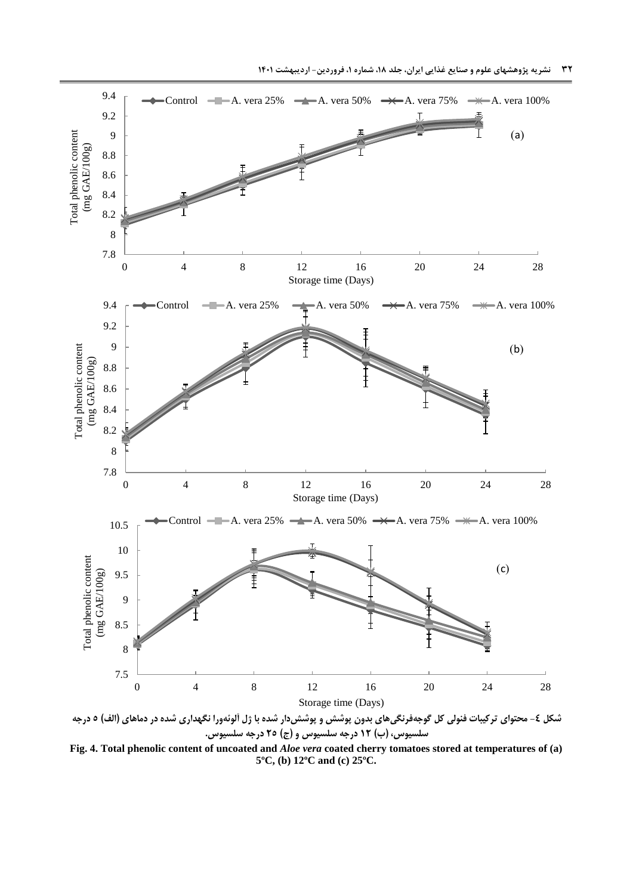

<span id="page-11-0"></span>**سلسیوس، )ب( 12 درجه سلسیوس و )ج( 25 درجه سلسیوس.**

**Fig. 4. Total phenolic content of uncoated and** *Aloe vera* **coated cherry tomatoes stored at temperatures of (a) 5ºC, (b) 12ºC and (c) 25ºC.**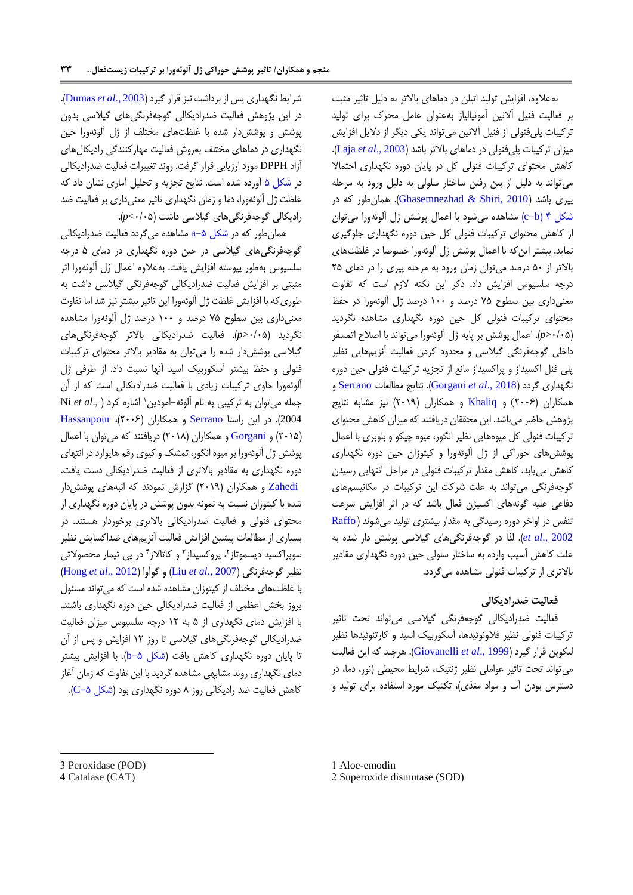بهعالوه، افزایش تولید اتیلن در دماهای باالتر به دلیل تاثیر مثبت بر فعالیت فنیل آالنین آمونیالیاز بهعنوان عامل محرک برای تولید ترکیبات پلیفنولی از فنیل آالنین میتواند یکی دیگر از دالیل افزایش میزان ترکیبات پلیفنولی در دماهای باالتر باشد )[2003 .,](#page-16-16)*al et* Laja). کاهش محتوای ترکیبات فنولی کل در پایان دوره نگهداری احتماال میتواند به دلیل از بین رفتن ساختار سلولی به دلیل ورود به مرحله پیری باشد )[2010 ,Shiri & Ghasemnezhad](#page-16-17)). همانطور که در شکل ۴ (c-b) مشاهده می شود با اعمال پوشش ژل آلوئهورا می توان از کاهش محتوای ترکیبات فنولی کل حین دوره نگهداری جلوگیری نماید. بیشتر اینکه با اعمال پوشش ژل آلوئهورا خصوصا در غلظتهای باالتر از 25 درصد میتوان زمان ورود به مرحله پیری را در دمای 52 درجه سلسیوس افزایش داد. ذکر این نکته الزم است که تفاوت معنیداری بین سطوح 52 درصد و 055 درصد ژل آلوئهورا در حفظ محتوای ترکیبات فنولی کل حین دوره نگهداری مشاهده نگردید )5/52<*p*). اعمال پوشش بر پایه ژل آلوئهورا میتواند با اصالح اتمسفر داخلی گوجهفرنگی گیالسی و محدود کردن فعالیت آنزیمهایی نظیر پلی فنل اکسیداز و پراکسیداز مانع از تجزیه ترکیبات فنولی حین دوره نگهداری گردد )2018 .,*al et* [Gorgani](#page-16-18)). نتایج مطالعات [Serrano](#page-17-17) و همکاران )5555) و [Khaliq](#page-16-7) و همکاران )5505( نیز مشابه نتایج پژوهش حاضر میباشد. این محققان دریافتند که میزان کاهش محتوای ترکیبات فنولی کل میوههایی نظیر انگور، میوه چیکو و بلوبری با اعمال پوششهای خوراکی از ژل آلوئهورا و کیتوزان حین دوره نگهداری کاهش مییابد. کاهش مقدار ترکیبات فنولی در مراحل انتهایی رسیدن گوجهفرنگی میتواند به علت شرکت این ترکیبات در مکانیسمهای دفاعی علیه گونههای اکسیژن فعال باشد که در اثر افزایش سرعت تنفس در اواخر دوره رسیدگی به مقدار بیشتری تولید میشوند ) [Raffo](#page-17-18) [2002 .,](#page-17-18)*al et*). لذا در گوجهفرنگیهای گیالسی پوشش دار شده به علت کاهش آسیب وارده به ساختار سلولی حین دوره نگهداری مقادیر باالتری از ترکیبات فنولی مشاهده میگردد.

### **فعالیت ضدرادیکالی**

فعالیت ضدرادیکالی گوجهفرنگی گیالسی میتواند تحت تاثیر ترکیبات فنولی نظیر فالونوئیدها، آسکوربیک اسید و کارتنوئیدها نظیر لیکوپن قرار گیرد )1999 .,*al et* [Giovanelli](#page-16-14)). هرچند که این فعالیت میتواند تحت تاثیر عواملی نظیر ژنتیک، شرایط محیطی )نور، دما، در دسترس بودن آب و مواد مغذی)، تکنیک مورد استفاده برای تولید و

شرایط نگهداری پس از برداشت نیز قرار گیرد )2003 .,*al et* [Dumas](#page-15-11)). در این پژوهش فعالیت ضدرادیکالی گوجهفرنگیهای گیالسی بدون پوشش و پوششدار شده با غلظتهای مختلف از ژل آلوئهورا حین نگهداری در دماهای مختلف بهروش فعالیت مهارکنندگی رادیکالهای آزاد DPPH مورد ارزیابی قرار گرفت. روند تغییرات فعالیت ضدرادیکالی در [شکل 2](#page-13-0) آورده شده است. نتایج تجزیه و تحلیل آماری نشان داد که غلظت ژل آلوئهورا، دما و زمان نگهداری تاثیر معنیداری بر فعالیت ضد رادیکالی گوجهفرنگیهای گیالسی داشت )5/52>*p*).

همان طور که در شکل a-b مشاهده میگردد فعالیت ضدرادیکالی گوجهفرنگیهای گیالسی در حین دوره نگهداری در دمای 2 درجه سلسیوس بهطور پیوسته افزایش یافت. بهعالوه اعمال ژل آلوئهورا اثر مثبتی بر افزایش فعالیت ضدرادیکالی گوجهفرنگی گیالسی داشت به طوریکه با افزایش غلظت ژل آلوئهورا این تاثیر بیشتر نیز شد اما تفاوت معنیداری بین سطوح 52 درصد و 055 درصد ژل آلوئهورا مشاهده نگردید )5/52<*p*). فعالیت ضدرادیکالی باالتر گوجهفرنگیهای گیالسی پوششدار شده را میتوان به مقادیر باالتر محتوای ترکیبات فنولی و حفظ بیشتر آسکوربیک اسید آنها نسبت داد. از طرفی ژل آلوئهورا حاوی ترکیبات زیادی با فعالیت ضدرادیکالی است که از آن اشاره کرد ) .,*al et* Ni <sup>0</sup> جمله میتوان به ترکیبی به نام آلوئه-امودین 2004). در [ا](#page-17-17)ین راستا [Serrano](#page-17-17) و همکاران (۲۰۰۶)، [Hassanpour](#page-16-19) )5502( [و](#page-16-18) [Gorgani](#page-16-18) و همکاران )5508( دریافتند که میتوان با اعمال پوشش ژل آلوئهورا بر میوه انگور، تمشک و کیوی رقم هایوارد در انتهای دوره نگهداری به مقادیر باالتری از فعالیت ضدرادیکالی دست یافت.  [Zahedi](#page-18-6) و همکاران )5505( گزارش نمودند که انبههای پوششدار شده با کیتوزان نسبت به نمونه بدون پوشش در پایان دوره نگهداری از محتوای فنولی و فعالیت ضدرادیکالی باالتری برخوردار هستند. در بسیاری از مطالعات پیشین افزایش فعالیت آنزیمهای ضداکسایش نظیر سوپراکسید دیسموتاز<sup>۲</sup>، پروکسیداز ۳ و کاتالاز ۴ در پی تیمار محصولاتی )[Hong](#page-16-20) *et al*., 2012( گوآوا و( Liu *et al*., [2007](#page-17-19)( گوجهفرنگی نظیر با غلظتهای مختلف از کیتوزان مشاهده شده است که میتواند مسئول بروز بخش اعظمی از فعالیت ضدرادیکالی حین دوره نگهداری باشند. با افزایش دمای نگهداری از 2 به 05 درجه سلسیوس میزان فعالیت ضدرادیکالی گوجهفرنگیهای گیالسی تا روز 05 افزایش و پس از آن تا پایان دوره نگهداری کاهش یافت (شکل ۵–b). با افزایش بیشتر دمای نگهداری روند مشابهی مشاهده گردید با این تفاوت که زمان آغاز کاهش فعالیت ضد رادیکالی روز ۸ دوره نگهداری بود (شکل ۵−C).

 $\overline{a}$ 

<sup>3</sup> Peroxidase (POD)

<sup>4</sup> Catalase (CAT)

<sup>1</sup> Aloe-emodin

<sup>2</sup> Superoxide dismutase (SOD)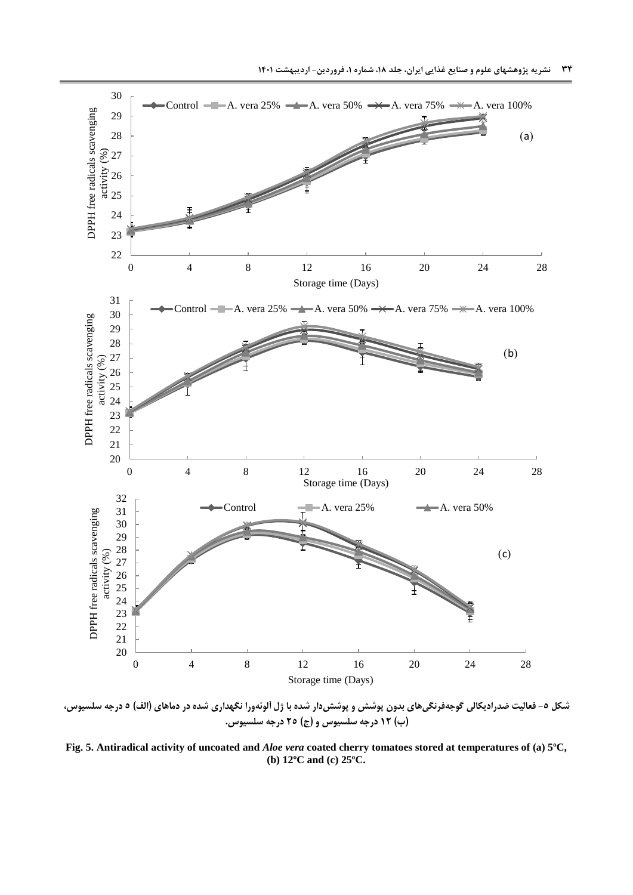

**شکل -5 فعالیت ضدرادیکالی گوجهفرنگیهای بدون پوشش و پوششدار شده با ژل آلوئهورا نگهداری شده در دماهای )الف( 5 درجه سلسیوس، )ب( 12 درجه سلسیوس و )ج( 25 درجه سلسیوس.**

<span id="page-13-0"></span>**Fig. 5. Antiradical activity of uncoated and** *Aloe vera* **coated cherry tomatoes stored at temperatures of (a) 5ºC, (b) 12ºC and (c) 25ºC.**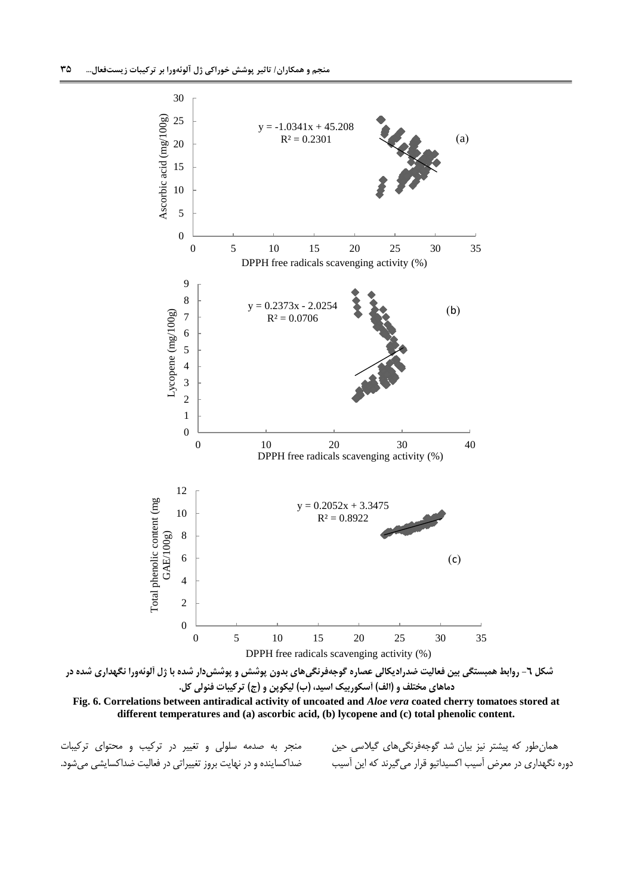

**دماهای مختلف و )الف( آسکوربیک اسید، )ب( لیکوپن و )ج( ترکیبات فنولی کل.**

**Fig. 6. Correlations between antiradical activity of uncoated and** *Aloe vera* **coated cherry tomatoes stored at different temperatures and (a) ascorbic acid, (b) lycopene and (c) total phenolic content.** 

منجر به صدمه سلولی و تغییر در ترکیب و محتوای ترکیبات ضداکساینده و در نهایت بروز تغییراتی در فعالیت ضداکسایشی میشود.

<span id="page-14-0"></span>همانطور که پیشتر نیز بیان شد گوجهفرنگیهای گیالسی حین دوره نگهداری در معرض آسیب اکسیداتیو قرار میگیرند که این آسیب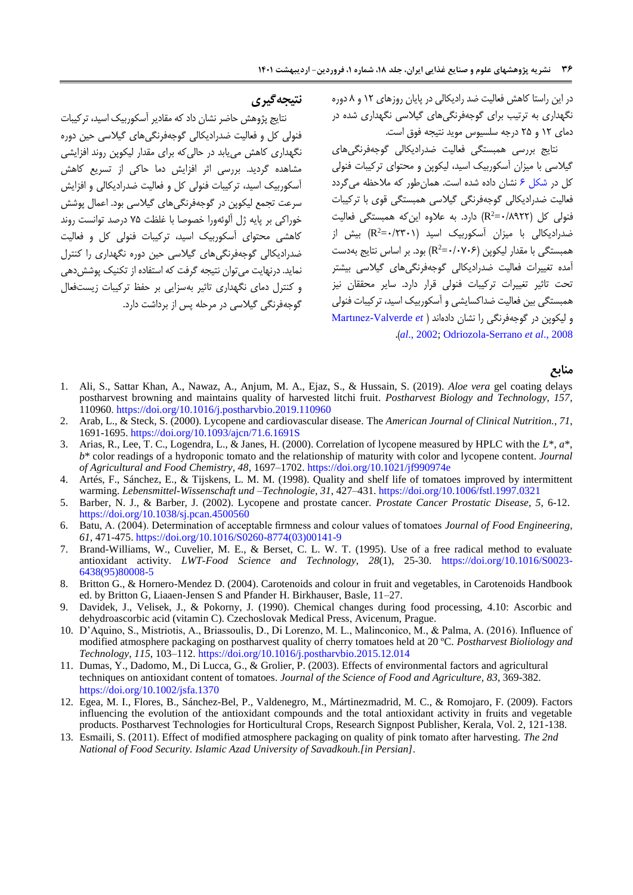در این راستا کاهش فعالیت ضد رادیکالی در پایان روزهای 05 و 8 دوره نگهداری به ترتیب برای گوجهفرنگیهای گیالسی نگهداری شده در دمای 05 و 52 درجه سلسیوس موید نتیجه فوق است.

نتایج بررسی همبستگی فعالیت ضدرادیکالی گوجهفرنگیهای گیالسی با میزان آسکوربیک اسید، لیکوپن و محتوای ترکیبات فنولی کل در [شکل 5](#page-14-0) نشان داده شده است. همانطور که مالحظه میگردد فعالیت ضدرادیکالی گوجهفرنگی گیالسی همبستگی قوی با ترکیبات فنولی کل (R $^2$ =۰/۸۹۲۲) دارد. به علاوه اینکه همبستگی فعالیت 2 ضدرادیکالی با میزان آسکوربیک اسید )5/5550= R )بیش از همبستگی با مقدار لیکوپن (k^3-+(R<sup>2</sup>) بود. بر اساس نتایج بهدست آمده تغییرات فعالیت ضدرادیکالی گوجهفرنگیهای گیالسی بیشتر تحت تاثیر تغییرات ترکیبات فنولی قرار دارد. سایر محققان نیز همبستگی بین فعالیت ضداکسایشی و آسکوربیک اسید، ترکیبات فنولی و لیکوپن در گوجهفرنگی را نشان دادهاند [\)](#page-17-12) *et* [Valverde-Martınez](#page-17-12) .)*al*[., 2002;](#page-17-12) [Odriozola-Serrano](#page-17-15) *et al*., 2008

#### **منابع**

- <span id="page-15-4"></span>1. Ali, S., Sattar Khan, A., Nawaz, A., Anjum, M. A., Ejaz, S., & Hussain, S. (2019). *Aloe vera* gel coating delays postharvest browning and maintains quality of harvested litchi fruit. *Postharvest Biology and Technology, 157*, 110960. <https://doi.org/10.1016/j.postharvbio.2019.110960>
- <span id="page-15-2"></span>2. Arab, L., & Steck, S. (2000). Lycopene and cardiovascular disease. The *American Journal of Clinical Nutrition., 71*, 1691-169[5.](https://doi.org/10.1093/ajcn/71.6.1691S) <https://doi.org/10.1093/ajcn/71.6.1691S>
- 3. Arias, R., Lee, T. C., Logendra, L., & Janes, H. (2000). Correlation of lycopene measured by HPLC with the *L*\*, *a*\*, *b*\* color readings of a hydroponic tomato and the relationship of maturity with color and lycopene content. *Journal of Agricultural and Food Chemistry, 48*, 1697–1702. <https://doi.org/10.1021/jf990974e>
- <span id="page-15-8"></span>4. Artés, F., Sánchez, E., & Tijskens, L. M. M. (1998). Quality and shelf life of tomatoes improved by intermittent warming. *Lebensmittel-Wissenschaft und –Technologie, 31*, 427–431[.](https://doi.org/10.1006/fstl.1997.0321) <https://doi.org/10.1006/fstl.1997.0321>
- <span id="page-15-3"></span>5. Barber, N. J., & Barber, J. (2002). Lycopene and prostate cancer. *Prostate Cancer Prostatic Disease, 5*, 6-12[.](https://doi.org/10.1038/sj.pcan.4500560) <https://doi.org/10.1038/sj.pcan.4500560>
- <span id="page-15-9"></span>6. Batu, A. (2004). Determination of acceptable firmness and colour values of tomatoes *Journal of Food Engineering*, *61,* 471-47[5.](https://doi.org/10.1016/S0260-8774(03)00141-9) [https://doi.org/10.1016/S0260-8774\(03\)00141-9](https://doi.org/10.1016/S0260-8774(03)00141-9)
- <span id="page-15-5"></span>7. Brand-Williams, W., Cuvelier, M. E., & Berset, C. L. W. T. (1995). Use of a free radical method to evaluate antioxidant activity. *LWT-Food Science and Technology, 28*(1), 25-30. [https://doi.org/10.1016/S0023-](https://doi.org/10.1016/S0023-6438(95)80008-5) [6438\(95\)80008-5](https://doi.org/10.1016/S0023-6438(95)80008-5)
- <span id="page-15-7"></span>8. Britton G., & Hornero-Mendez D. (2004). Carotenoids and colour in fruit and vegetables, in Carotenoids Handbook ed. by Britton G, Liaaen-Jensen S and Pfander H. Birkhauser, Basle, 11–27.
- <span id="page-15-6"></span>9. Davidek, J., Velisek, J., & Pokorny, J. (1990). Chemical changes during food processing, 4.10: Ascorbic and dehydroascorbic acid (vitamin C). Czechoslovak Medical Press, Avicenum, Prague.
- <span id="page-15-1"></span>10. D'Aquino, S., Mistriotis, A., Briassoulis, D., Di Lorenzo, M. L., Malinconico, M., & Palma, A. (2016). Influence of modified atmosphere packaging on postharvest quality of cherry tomatoes held at 20 ºC. *Postharvest Bioliology and Technology*, *115*, 103–112.<https://doi.org/10.1016/j.postharvbio.2015.12.014>
- <span id="page-15-11"></span>11. Dumas, Y., Dadomo, M., Di Lucca, G., & Grolier, P. (2003). Effects of environmental factors and agricultural techniques on antioxidant content of tomatoes. *Journal of the Science of Food and Agriculture, 83*, 369-382[.](https://doi.org/10.1002/jsfa.1370) <https://doi.org/10.1002/jsfa.1370>
- <span id="page-15-10"></span>12. Egea, M. I., Flores, B., Sánchez-Bel, P., Valdenegro, M., Mártinezmadrid, M. C., & Romojaro, F. (2009). Factors influencing the evolution of the antioxidant compounds and the total antioxidant activity in fruits and vegetable products. Postharvest Technologies for Horticultural Crops, Research Signpost Publisher, Kerala, Vol. 2, 121-138.
- <span id="page-15-0"></span>13. Esmaili, S. (2011). Effect of modified atmosphere packaging on quality of pink tomato after harvesting. *The 2nd National of Food Security. Islamic Azad University of Savadkouh.[in Persian]*.

## **نتیجهگیری**

نتایج پژوهش حاضر نشان داد که مقادیر آسکوربیک اسید، ترکیبات فنولی کل و فعالیت ضدرادیکالی گوجهفرنگیهای گیالسی حین دوره نگهداری کاهش مییابد در حالیکه برای مقدار لیکوپن روند افزایشی مشاهده گردید. بررسی اثر افزایش دما حاکی از تسریع کاهش آسکوربیک اسید، ترکیبات فنولی کل و فعالیت ضدرادیکالی و افزایش سرعت تجمع لیکوپن در گوجهفرنگیهای گیالسی بود. اعمال پوشش خوراکی بر پایه ژل آلوئهورا خصوصا با غلظت 52 درصد توانست روند کاهشی محتوای آسکوربیک اسید، ترکیبات فنولی کل و فعالیت ضدرادیکالی گوجهفرنگیهای گیالسی حین دوره نگهداری را کنترل نماید. درنهایت میتوان نتیجه گرفت که استفاده از تکنیک پوششدهی و کنترل دمای نگهداری تاثیر بهسزایی بر حفظ ترکیبات زیستفعال گوجهفرنگی گیالسی در مرحله پس از برداشت دارد.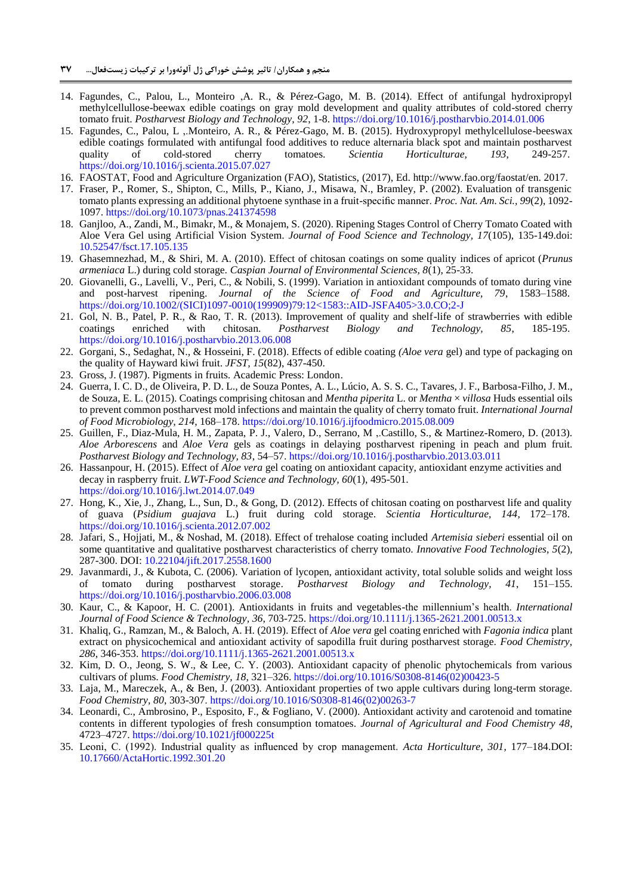- <span id="page-16-3"></span>14. Fagundes, C., Palou, L., Monteiro ,A. R., & Pérez-Gago, M. B. (2014). Effect of antifungal hydroxipropyl methylcellullose-beewax edible coatings on gray mold development and quality attributes of cold-stored cherry tomato fruit. *Postharvest Biology and Technology, 92*, 1-[8.](https://doi.org/10.1016/j.postharvbio.2014.01.006) <https://doi.org/10.1016/j.postharvbio.2014.01.006>
- <span id="page-16-6"></span>15. Fagundes, C., Palou, L ,.Monteiro, A. R., & Pérez-Gago, M. B. (2015). Hydroxypropyl methylcellulose-beeswax edible coatings formulated with antifungal food additives to reduce alternaria black spot and maintain postharvest quality of cold-stored cherry tomatoes. *Scientia Horticulturae, 193*, 249-257[.](https://doi.org/10.1016/j.scienta.2015.07.027) <https://doi.org/10.1016/j.scienta.2015.07.027>
- <span id="page-16-1"></span>16. FAOSTAT, Food and Agriculture Organization (FAO), Statistics, (2017), Ed. http://www.fao.org/faostat/en. 2017.
- <span id="page-16-2"></span>17. Fraser, P., Romer, S., Shipton, C., Mills, P., Kiano, J., Misawa, N., Bramley, P. (2002). Evaluation of transgenic tomato plants expressing an additional phytoene synthase in a fruit-specific manner. *Proc. Nat. Am. Sci., 99*(2), 1092- 1097[. https://doi.org/10.1073/pnas.241374598](https://doi.org/10.1073/pnas.241374598)
- <span id="page-16-8"></span>18. Ganjloo, A., Zandi, M., Bimakr, M., & Monajem, S. (2020). Ripening Stages Control of Cherry Tomato Coated with Aloe Vera Gel using Artificial Vision System. *Journal of Food Science and Technology, 17*(105), 135-149.doi: [10.52547/fsct.17.105.135](http://dx.doi.org/10.52547/fsct.17.105.135)
- <span id="page-16-17"></span>19. Ghasemnezhad, M., & Shiri, M. A. (2010). Effect of chitosan coatings on some quality indices of apricot (*Prunus armeniaca* L.) during cold storage. *Caspian Journal of Environmental Sciences, 8*(1), 25-33.
- <span id="page-16-14"></span>20. Giovanelli, G., Lavelli, V., Peri, C., & Nobili, S. (1999). Variation in antioxidant compounds of tomato during vine and post-harvest ripening. *Journal of the Science of Food and Agriculture, 79*, 1583–1588[.](https://doi.org/10.1002/(SICI)1097-0010(199909)79:12%3c1583::AID-JSFA405%3e3.0.CO;2-J) [https://doi.org/10.1002/\(SICI\)1097-0010\(199909\)79:12<1583::AID-JSFA405>3.0.CO;2-J](https://doi.org/10.1002/(SICI)1097-0010(199909)79:12%3c1583::AID-JSFA405%3e3.0.CO;2-J)
- <span id="page-16-11"></span>21. Gol, N. B., Patel, P. R., & Rao, T. R. (2013). Improvement of quality and shelf-life of strawberries with edible coatings enriched with chitosan. *Postharvest Biology and Technology, 85*, 185-195[.](https://doi.org/10.1016/j.postharvbio.2013.06.008) <https://doi.org/10.1016/j.postharvbio.2013.06.008>
- <span id="page-16-18"></span>22. Gorgani, S., Sedaghat, N., & Hosseini, F. (2018). Effects of edible coating *(Aloe vera* gel) and type of packaging on the quality of Hayward kiwi fruit. *JFST, 15*(82), 437-450.
- 23. Gross, J. (1987). Pigments in fruits. Academic Press: London.
- <span id="page-16-4"></span>24. Guerra, I. C. D., de Oliveira, P. D. L., de Souza Pontes, A. L., Lúcio, A. S. S. C., Tavares, J. F., Barbosa-Filho, J. M., de Souza, E. L. (2015). Coatings comprising chitosan and *Mentha piperita* L. or *Mentha* × *villosa* Huds essential oils to prevent common postharvest mold infections and maintain the quality of cherry tomato fruit. *International Journal of Food Microbiology, 214*, 168–17[8.](https://doi.org/10.1016/j.ijfoodmicro.2015.08.009) <https://doi.org/10.1016/j.ijfoodmicro.2015.08.009>
- <span id="page-16-15"></span>25. Guillen, F., Diaz-Mula, H. M., Zapata, P. J., Valero, D., Serrano, M ,.Castillo, S., & Martinez-Romero, D. (2013). *Aloe Arborescens* and *Aloe Vera* gels as coatings in delaying postharvest ripening in peach and plum fruit. *Postharvest Biology and Technology, 83*, 54–5[7.](https://doi.org/10.1016/j.postharvbio.2013.03.011) <https://doi.org/10.1016/j.postharvbio.2013.03.011>
- <span id="page-16-19"></span>26. Hassanpour, H. (2015). Effect of *Aloe vera* gel coating on antioxidant capacity, antioxidant enzyme activities and decay in raspberry fruit. *LWT-Food Science and Technology, 60*(1), 495-501. <https://doi.org/10.1016/j.lwt.2014.07.049>
- <span id="page-16-20"></span>27. Hong, K., Xie, J., Zhang, L., Sun, D., & Gong, D. (2012). Effects of chitosan coating on postharvest life and quality of guava (*Psidium guajava* L.) fruit during cold storage. *Scientia Horticulturae, 144*, 172–178[.](https://doi.org/10.1016/j.scienta.2012.07.002) <https://doi.org/10.1016/j.scienta.2012.07.002>
- <span id="page-16-5"></span>28. Jafari, S., Hojjati, M., & Noshad, M. (2018). Effect of trehalose coating included *Artemisia sieberi* essential oil on some quantitative and qualitative postharvest characteristics of cherry tomato. *Innovative Food Technologies, 5*(2), 287-300. DOI: [10.22104/jift.2017.2558.1600](https://dx.doi.org/10.22104/jift.2017.2558.1600)
- <span id="page-16-12"></span>29. Javanmardi, J., & Kubota, C. (2006). Variation of lycopen, antioxidant activity, total soluble solids and weight loss of tomato during postharvest storage. *Postharvest Biology and Technology, 41*, 151–155. <https://doi.org/10.1016/j.postharvbio.2006.03.008>
- <span id="page-16-0"></span>30. Kaur, C., & Kapoor, H. C. (2001). Antioxidants in fruits and vegetables-the millennium's health. *International Journal of Food Science & Technology, 36*, 703-725. <https://doi.org/10.1111/j.1365-2621.2001.00513.x>
- <span id="page-16-7"></span>31. Khaliq, G., Ramzan, M., & Baloch, A. H. (2019). Effect of *Aloe vera* gel coating enriched with *Fagonia indica* plant extract on physicochemical and antioxidant activity of sapodilla fruit during postharvest storage. *Food Chemistry, 286*, 346-353. <https://doi.org/10.1111/j.1365-2621.2001.00513.x>
- <span id="page-16-9"></span>32. Kim, D. O., Jeong, S. W., & Lee, C. Y. (2003). Antioxidant capacity of phenolic phytochemicals from various cultivars of plums. *Food Chemistry, 18*, 321–326[.](https://doi.org/10.1016/S0308-8146(02)00423-5) [https://doi.org/10.1016/S0308-8146\(02\)00423-5](https://doi.org/10.1016/S0308-8146(02)00423-5)
- <span id="page-16-16"></span>33. Laja, M., Mareczek, A., & Ben, J. (2003). Antioxidant properties of two apple cultivars during long-term storage. *Food Chemistry, 80*, 303-307. [https://doi.org/10.1016/S0308-8146\(02\)00263-7](https://doi.org/10.1016/S0308-8146(02)00263-7)
- <span id="page-16-10"></span>34. Leonardi, C., Ambrosino, P., Esposito, F., & Fogliano, V. (2000). Antioxidant activity and carotenoid and tomatine contents in different typologies of fresh consumption tomatoes. *Journal of Agricultural and Food Chemistry 48*, 4723–4727[.](https://doi.org/10.1021/jf000225t) <https://doi.org/10.1021/jf000225t>
- <span id="page-16-13"></span>35. Leoni, C. )1992(. Industrial quality as influenced by crop management. *Acta Horticulture, 301*, 177–184.DOI: [10.17660/ActaHortic.1992.301.20](https://doi.org/10.17660/ActaHortic.1992.301.20)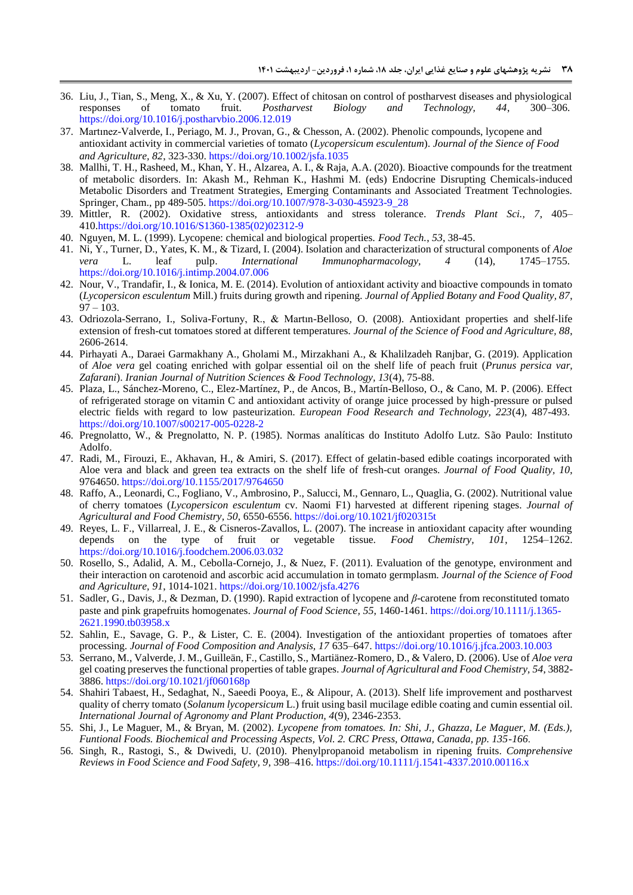- <span id="page-17-19"></span>36. Liu, J., Tian, S., Meng, X., & Xu, Y. (2007). Effect of chitosan on control of postharvest diseases and physiological responses of tomato fruit. *Postharvest Biology and Technology, 44*, 300–306[.](https://doi.org/10.1016/j.postharvbio.2006.12.019) <https://doi.org/10.1016/j.postharvbio.2006.12.019>
- <span id="page-17-12"></span>37. Martınez-Valverde, I., Periago, M. J., Provan, G., & Chesson, A. (2002). Phenolic compounds, lycopene and antioxidant activity in commercial varieties of tomato (*Lycopersicum esculentum*). *Journal of the Sience of Food and Agriculture, 82*, 323-330. <https://doi.org/10.1002/jsfa.1035>
- <span id="page-17-0"></span>38. Mallhi, T. H., Rasheed, M., Khan, Y. H., Alzarea, A. I., & Raja, A.A. (2020). Bioactive compounds for the treatment of metabolic disorders. In: Akash M., Rehman K., Hashmi M. (eds) Endocrine Disrupting Chemicals-induced Metabolic Disorders and Treatment Strategies, Emerging Contaminants and Associated Treatment Technologies. Springer, Cham., pp 489-505. [https://doi.org/10.1007/978-3-030-45923-9\\_28](https://doi.org/10.1007/978-3-030-45923-9_28)
- <span id="page-17-9"></span>39. Mittler, R. (2002). Oxidative stress, antioxidants and stress tolerance. *Trends Plant Sci., 7*, 405– 410[.https://doi.org/10.1016/S1360-1385\(02\)02312-9](https://doi.org/10.1016/S1360-1385(02)02312-9)
- <span id="page-17-11"></span>40. Nguyen, M. L. (1999). Lycopene: chemical and biological properties. *Food Tech.*, *53*, 38-45.
- 41. Ni, Y., Turner, D., Yates, K. M., & Tizard, I. (2004). Isolation and characterization of structural components of *Aloe vera* L. leaf pulp. *International Immunopharmacology, 4* (14), 1745–1755[.](https://doi.org/10.1016/j.intimp.2004.07.006) <https://doi.org/10.1016/j.intimp.2004.07.006>
- <span id="page-17-13"></span>42. Nour, V., Trandafir, I., & Ionica, M. E. (2014). Evolution of antioxidant activity and bioactive compounds in tomato (*Lycopersicon esculentum* Mill.) fruits during growth and ripening. *Journal of Applied Botany and Food Quality, 87*,  $97 - 103.$
- <span id="page-17-15"></span>43. Odriozola-Serrano, I., Soliva-Fortuny, R., & Martın-Belloso, O. (2008). Antioxidant properties and shelf-life extension of fresh-cut tomatoes stored at different temperatures. *Journal of the Science of Food and Agriculture, 88*, 2606-2614.
- <span id="page-17-4"></span>44. Pirhayati A., Daraei Garmakhany A., Gholami M., Mirzakhani A., & Khalilzadeh Ranjbar, G. (2019). Application of *Aloe vera* gel coating enriched with golpar essential oil on the shelf life of peach fruit (*Prunus persica var, Zafarani*). *Iranian Journal of Nutrition Sciences & Food Technology, 13*(4), 75-88.
- <span id="page-17-8"></span>45. Plaza, L., Sánchez-Moreno, C., Elez-Martínez, P., de Ancos, B., Martín-Belloso, O., & Cano, M. P. (2006). Effect of refrigerated storage on vitamin C and antioxidant activity of orange juice processed by high-pressure or pulsed electric fields with regard to low pasteurization. *European Food Research and Technology, 223*(4), 487-493[.](https://doi.org/10.1007/s00217-005-0228-2) <https://doi.org/10.1007/s00217-005-0228-2>
- <span id="page-17-5"></span>46. Pregnolatto, W., & Pregnolatto, N. P. (1985). Normas analíticas do Instituto Adolfo Lutz. São Paulo: Instituto Adolfo.
- <span id="page-17-10"></span>47. Radi, M., Firouzi, E., Akhavan, H., & Amiri, S. (2017). Effect of gelatin-based edible coatings incorporated with Aloe vera and black and green tea extracts on the shelf life of fresh-cut oranges. *Journal of Food Quality, 10*, 9764650[.](https://doi.org/10.1155/2017/9764650) <https://doi.org/10.1155/2017/9764650>
- <span id="page-17-18"></span>48. Raffo, A., Leonardi, C., Fogliano, V., Ambrosino, P., Salucci, M., Gennaro, L., Quaglia, G. (2002). Nutritional value of cherry tomatoes (*Lycopersicon esculentum* cv. Naomi F1) harvested at different ripening stages. *Journal of Agricultural and Food Chemistry, 50*, 6550-655[6.](https://doi.org/10.1021/jf020315t) <https://doi.org/10.1021/jf020315t>
- <span id="page-17-16"></span>49. Reyes, L. F., Villarreal, J. E., & Cisneros-Zavallos, L. (2007). The increase in antioxidant capacity after wounding depends on the type of fruit or vegetable tissue. *Food Chemistry, 101*, 1254–1262. <https://doi.org/10.1016/j.foodchem.2006.03.032>
- <span id="page-17-2"></span>50. Rosello, S., Adalid, A. M., Cebolla-Cornejo, J., & Nuez, F. (2011). Evaluation of the genotype, environment and their interaction on carotenoid and ascorbic acid accumulation in tomato germplasm. *Journal of the Science of Food and Agriculture, 91*, 1014-1021[.](https://doi.org/10.1002/jsfa.4276) <https://doi.org/10.1002/jsfa.4276>
- <span id="page-17-6"></span>51. Sadler, G., Davis, J., & Dezman, D. (1990). Rapid extraction of lycopene and *β*-carotene from reconstituted tomato paste and pink grapefruits homogenates. *Journal of Food Science, 55*, 1460-1461[.](https://doi.org/10.1111/j.1365-2621.1990.tb03958.x) [https://doi.org/10.1111/j.1365-](https://doi.org/10.1111/j.1365-2621.1990.tb03958.x) [2621.1990.tb03958.x](https://doi.org/10.1111/j.1365-2621.1990.tb03958.x)
- <span id="page-17-7"></span>52. Sahlin, E., Savage, G. P., & Lister, C. E. (2004). Investigation of the antioxidant properties of tomatoes after processing. *Journal of Food Composition and Analysis, 17* 635–647. <https://doi.org/10.1016/j.jfca.2003.10.003>
- <span id="page-17-17"></span>53. Serrano, M., Valverde, J. M., Guilleän, F., Castillo, S., Martiänez-Romero, D., & Valero, D. (2006). Use of *Aloe vera* gel coating preserves the functional properties of table grapes. *Journal of Agricultural and Food Chemistry, 54*, 3882- 3886[.](https://doi.org/10.1021/jf060168p) <https://doi.org/10.1021/jf060168p>
- <span id="page-17-3"></span>54. Shahiri Tabaest, H., Sedaghat, N., Saeedi Pooya, E., & Alipour, A. (2013). Shelf life improvement and postharvest quality of cherry tomato (*Solanum lycopersicum* L.) fruit using basil mucilage edible coating and cumin essential oil. *International Journal of Agronomy and Plant Production, 4*(9), 2346-2353.
- <span id="page-17-1"></span>55. Shi, J., Le Maguer, M., & Bryan, M. (2002). *Lycopene from tomatoes. In: Shi, J., Ghazza, Le Maguer, M. (Eds.), Funtional Foods. Biochemical and Processing Aspects, Vol. 2. CRC Press, Ottawa, Canada, pp. 135-166*.
- <span id="page-17-14"></span>56. Singh, R., Rastogi, S., & Dwivedi, U. (2010). Phenylpropanoid metabolism in ripening fruits. *Comprehensive Reviews in Food Science and Food Safety, 9*, 398–416[.](https://doi.org/10.1111/j.1541-4337.2010.00116.x) <https://doi.org/10.1111/j.1541-4337.2010.00116.x>